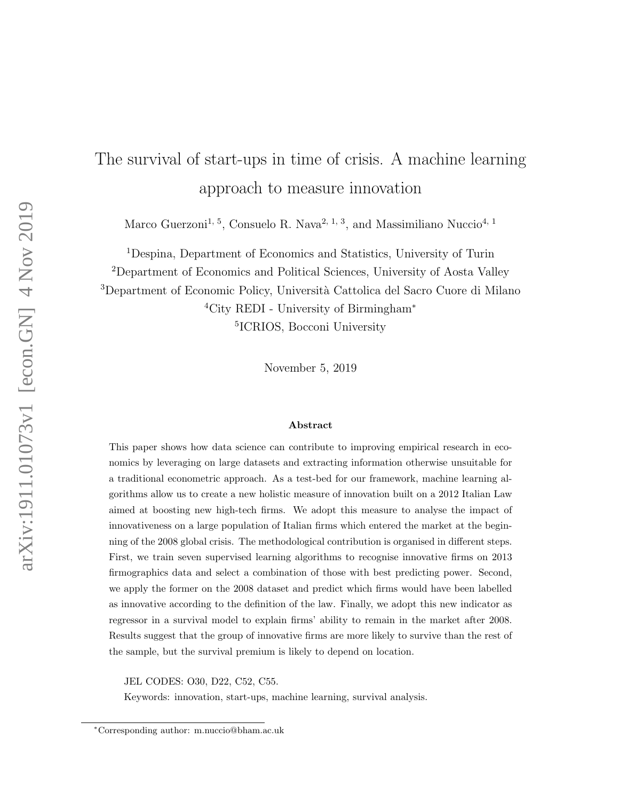# The survival of start-ups in time of crisis. A machine learning approach to measure innovation

Marco Guerzoni<sup>1, 5</sup>, Consuelo R. Nava<sup>2, 1, 3</sup>, and Massimiliano Nuccio<sup>4, 1</sup>

Despina, Department of Economics and Statistics, University of Turin Department of Economics and Political Sciences, University of Aosta Valley <sup>3</sup>Department of Economic Policy, Università Cattolica del Sacro Cuore di Milano City REDI - University of Birmingham<sup>∗</sup> ICRIOS, Bocconi University

November 5, 2019

#### Abstract

This paper shows how data science can contribute to improving empirical research in economics by leveraging on large datasets and extracting information otherwise unsuitable for a traditional econometric approach. As a test-bed for our framework, machine learning algorithms allow us to create a new holistic measure of innovation built on a 2012 Italian Law aimed at boosting new high-tech firms. We adopt this measure to analyse the impact of innovativeness on a large population of Italian firms which entered the market at the beginning of the 2008 global crisis. The methodological contribution is organised in different steps. First, we train seven supervised learning algorithms to recognise innovative firms on 2013 firmographics data and select a combination of those with best predicting power. Second, we apply the former on the 2008 dataset and predict which firms would have been labelled as innovative according to the definition of the law. Finally, we adopt this new indicator as regressor in a survival model to explain firms' ability to remain in the market after 2008. Results suggest that the group of innovative firms are more likely to survive than the rest of the sample, but the survival premium is likely to depend on location.

JEL CODES: O30, D22, C52, C55.

Keywords: innovation, start-ups, machine learning, survival analysis.

<sup>∗</sup>Corresponding author: m.nuccio@bham.ac.uk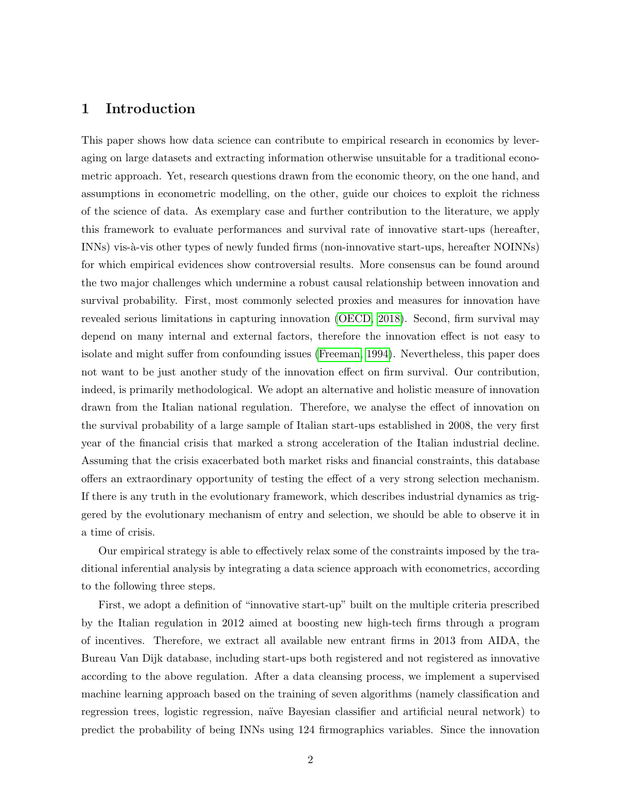### 1 Introduction

This paper shows how data science can contribute to empirical research in economics by leveraging on large datasets and extracting information otherwise unsuitable for a traditional econometric approach. Yet, research questions drawn from the economic theory, on the one hand, and assumptions in econometric modelling, on the other, guide our choices to exploit the richness of the science of data. As exemplary case and further contribution to the literature, we apply this framework to evaluate performances and survival rate of innovative start-ups (hereafter, INNs) vis-à-vis other types of newly funded firms (non-innovative start-ups, hereafter NOINNs) for which empirical evidences show controversial results. More consensus can be found around the two major challenges which undermine a robust causal relationship between innovation and survival probability. First, most commonly selected proxies and measures for innovation have revealed serious limitations in capturing innovation [\(OECD, 2018\)](#page-33-0). Second, firm survival may depend on many internal and external factors, therefore the innovation effect is not easy to isolate and might suffer from confounding issues [\(Freeman, 1994\)](#page-32-0). Nevertheless, this paper does not want to be just another study of the innovation effect on firm survival. Our contribution, indeed, is primarily methodological. We adopt an alternative and holistic measure of innovation drawn from the Italian national regulation. Therefore, we analyse the effect of innovation on the survival probability of a large sample of Italian start-ups established in 2008, the very first year of the financial crisis that marked a strong acceleration of the Italian industrial decline. Assuming that the crisis exacerbated both market risks and financial constraints, this database offers an extraordinary opportunity of testing the effect of a very strong selection mechanism. If there is any truth in the evolutionary framework, which describes industrial dynamics as triggered by the evolutionary mechanism of entry and selection, we should be able to observe it in a time of crisis.

Our empirical strategy is able to effectively relax some of the constraints imposed by the traditional inferential analysis by integrating a data science approach with econometrics, according to the following three steps.

First, we adopt a definition of "innovative start-up" built on the multiple criteria prescribed by the Italian regulation in 2012 aimed at boosting new high-tech firms through a program of incentives. Therefore, we extract all available new entrant firms in 2013 from AIDA, the Bureau Van Dijk database, including start-ups both registered and not registered as innovative according to the above regulation. After a data cleansing process, we implement a supervised machine learning approach based on the training of seven algorithms (namely classification and regression trees, logistic regression, naïve Bayesian classifier and artificial neural network) to predict the probability of being INNs using 124 firmographics variables. Since the innovation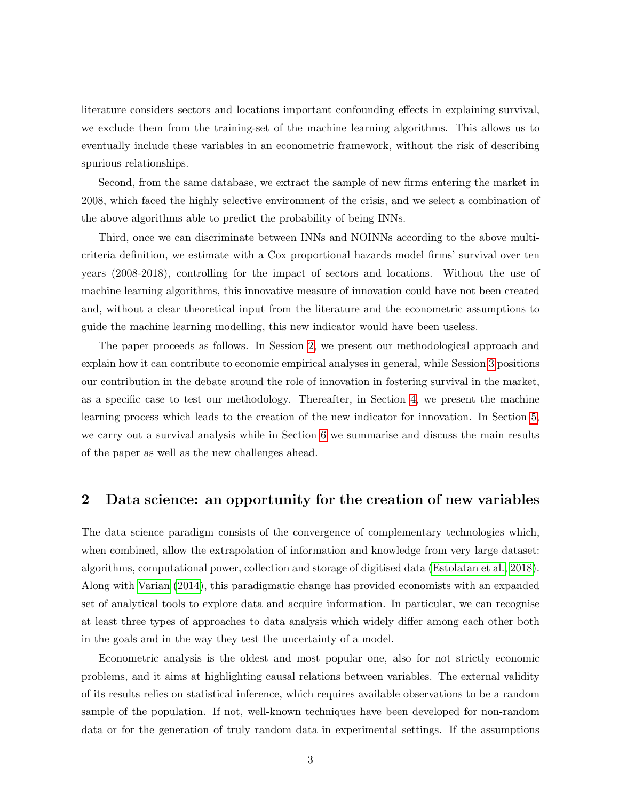literature considers sectors and locations important confounding effects in explaining survival, we exclude them from the training-set of the machine learning algorithms. This allows us to eventually include these variables in an econometric framework, without the risk of describing spurious relationships.

Second, from the same database, we extract the sample of new firms entering the market in 2008, which faced the highly selective environment of the crisis, and we select a combination of the above algorithms able to predict the probability of being INNs.

Third, once we can discriminate between INNs and NOINNs according to the above multicriteria definition, we estimate with a Cox proportional hazards model firms' survival over ten years (2008-2018), controlling for the impact of sectors and locations. Without the use of machine learning algorithms, this innovative measure of innovation could have not been created and, without a clear theoretical input from the literature and the econometric assumptions to guide the machine learning modelling, this new indicator would have been useless.

The paper proceeds as follows. In Session [2,](#page-2-0) we present our methodological approach and explain how it can contribute to economic empirical analyses in general, while Session [3](#page-6-0) positions our contribution in the debate around the role of innovation in fostering survival in the market, as a specific case to test our methodology. Thereafter, in Section [4,](#page-11-0) we present the machine learning process which leads to the creation of the new indicator for innovation. In Section [5,](#page-21-0) we carry out a survival analysis while in Section [6](#page-26-0) we summarise and discuss the main results of the paper as well as the new challenges ahead.

## <span id="page-2-0"></span>2 Data science: an opportunity for the creation of new variables

The data science paradigm consists of the convergence of complementary technologies which, when combined, allow the extrapolation of information and knowledge from very large dataset: algorithms, computational power, collection and storage of digitised data [\(Estolatan et al., 2018\)](#page-31-0). Along with [Varian](#page-35-0) [\(2014\)](#page-35-0), this paradigmatic change has provided economists with an expanded set of analytical tools to explore data and acquire information. In particular, we can recognise at least three types of approaches to data analysis which widely differ among each other both in the goals and in the way they test the uncertainty of a model.

Econometric analysis is the oldest and most popular one, also for not strictly economic problems, and it aims at highlighting causal relations between variables. The external validity of its results relies on statistical inference, which requires available observations to be a random sample of the population. If not, well-known techniques have been developed for non-random data or for the generation of truly random data in experimental settings. If the assumptions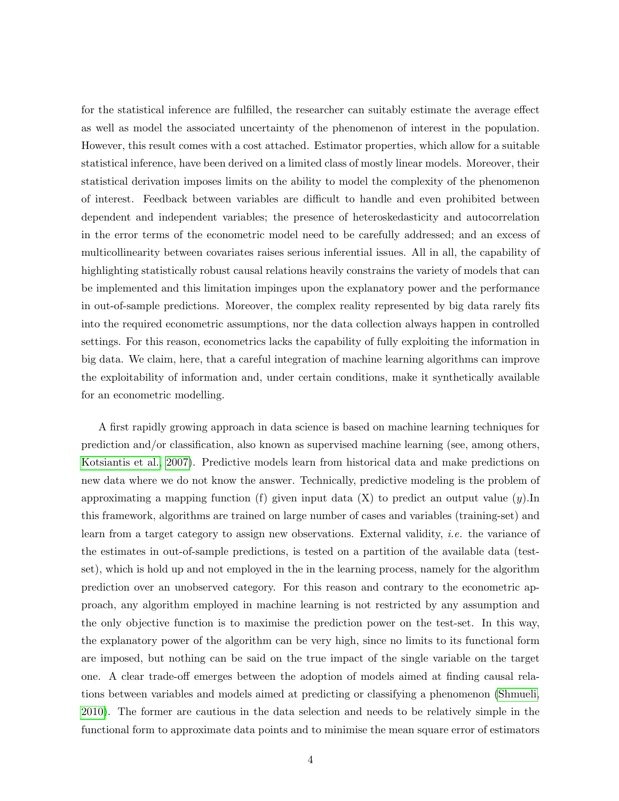for the statistical inference are fulfilled, the researcher can suitably estimate the average effect as well as model the associated uncertainty of the phenomenon of interest in the population. However, this result comes with a cost attached. Estimator properties, which allow for a suitable statistical inference, have been derived on a limited class of mostly linear models. Moreover, their statistical derivation imposes limits on the ability to model the complexity of the phenomenon of interest. Feedback between variables are difficult to handle and even prohibited between dependent and independent variables; the presence of heteroskedasticity and autocorrelation in the error terms of the econometric model need to be carefully addressed; and an excess of multicollinearity between covariates raises serious inferential issues. All in all, the capability of highlighting statistically robust causal relations heavily constrains the variety of models that can be implemented and this limitation impinges upon the explanatory power and the performance in out-of-sample predictions. Moreover, the complex reality represented by big data rarely fits into the required econometric assumptions, nor the data collection always happen in controlled settings. For this reason, econometrics lacks the capability of fully exploiting the information in big data. We claim, here, that a careful integration of machine learning algorithms can improve the exploitability of information and, under certain conditions, make it synthetically available for an econometric modelling.

A first rapidly growing approach in data science is based on machine learning techniques for prediction and/or classification, also known as supervised machine learning (see, among others, [Kotsiantis et al., 2007\)](#page-33-1). Predictive models learn from historical data and make predictions on new data where we do not know the answer. Technically, predictive modeling is the problem of approximating a mapping function (f) given input data  $(X)$  to predict an output value  $(y)$ . this framework, algorithms are trained on large number of cases and variables (training-set) and learn from a target category to assign new observations. External validity, i.e. the variance of the estimates in out-of-sample predictions, is tested on a partition of the available data (testset), which is hold up and not employed in the in the learning process, namely for the algorithm prediction over an unobserved category. For this reason and contrary to the econometric approach, any algorithm employed in machine learning is not restricted by any assumption and the only objective function is to maximise the prediction power on the test-set. In this way, the explanatory power of the algorithm can be very high, since no limits to its functional form are imposed, but nothing can be said on the true impact of the single variable on the target one. A clear trade-off emerges between the adoption of models aimed at finding causal relations between variables and models aimed at predicting or classifying a phenomenon [\(Shmueli,](#page-34-0) [2010\)](#page-34-0). The former are cautious in the data selection and needs to be relatively simple in the functional form to approximate data points and to minimise the mean square error of estimators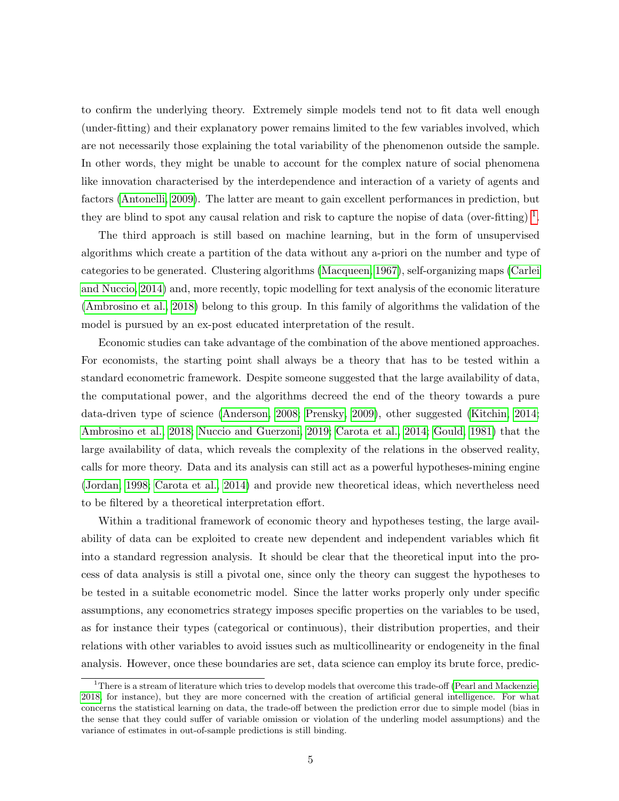to confirm the underlying theory. Extremely simple models tend not to fit data well enough (under-fitting) and their explanatory power remains limited to the few variables involved, which are not necessarily those explaining the total variability of the phenomenon outside the sample. In other words, they might be unable to account for the complex nature of social phenomena like innovation characterised by the interdependence and interaction of a variety of agents and factors [\(Antonelli, 2009\)](#page-29-0). The latter are meant to gain excellent performances in prediction, but they are blind to spot any causal relation and risk to capture the nopise of data (over-fitting)  $^1$  $^1$ .

The third approach is still based on machine learning, but in the form of unsupervised algorithms which create a partition of the data without any a-priori on the number and type of categories to be generated. Clustering algorithms [\(Macqueen, 1967\)](#page-33-2), self-organizing maps [\(Carlei](#page-30-0) [and Nuccio, 2014\)](#page-30-0) and, more recently, topic modelling for text analysis of the economic literature [\(Ambrosino et al., 2018\)](#page-29-1) belong to this group. In this family of algorithms the validation of the model is pursued by an ex-post educated interpretation of the result.

Economic studies can take advantage of the combination of the above mentioned approaches. For economists, the starting point shall always be a theory that has to be tested within a standard econometric framework. Despite someone suggested that the large availability of data, the computational power, and the algorithms decreed the end of the theory towards a pure data-driven type of science [\(Anderson, 2008;](#page-29-2) [Prensky, 2009\)](#page-34-1), other suggested [\(Kitchin, 2014;](#page-33-3) [Ambrosino et al., 2018;](#page-29-1) [Nuccio and Guerzoni, 2019;](#page-33-4) [Carota et al., 2014;](#page-30-1) [Gould, 1981\)](#page-32-1) that the large availability of data, which reveals the complexity of the relations in the observed reality, calls for more theory. Data and its analysis can still act as a powerful hypotheses-mining engine [\(Jordan, 1998;](#page-33-5) [Carota et al., 2014\)](#page-30-1) and provide new theoretical ideas, which nevertheless need to be filtered by a theoretical interpretation effort.

Within a traditional framework of economic theory and hypotheses testing, the large availability of data can be exploited to create new dependent and independent variables which fit into a standard regression analysis. It should be clear that the theoretical input into the process of data analysis is still a pivotal one, since only the theory can suggest the hypotheses to be tested in a suitable econometric model. Since the latter works properly only under specific assumptions, any econometrics strategy imposes specific properties on the variables to be used, as for instance their types (categorical or continuous), their distribution properties, and their relations with other variables to avoid issues such as multicollinearity or endogeneity in the final analysis. However, once these boundaries are set, data science can employ its brute force, predic-

<span id="page-4-0"></span> $1$ There is a stream of literature which tries to develop models that overcome this trade-off [\(Pearl and Mackenzie,](#page-34-2) [2018,](#page-34-2) for instance), but they are more concerned with the creation of artificial general intelligence. For what concerns the statistical learning on data, the trade-off between the prediction error due to simple model (bias in the sense that they could suffer of variable omission or violation of the underling model assumptions) and the variance of estimates in out-of-sample predictions is still binding.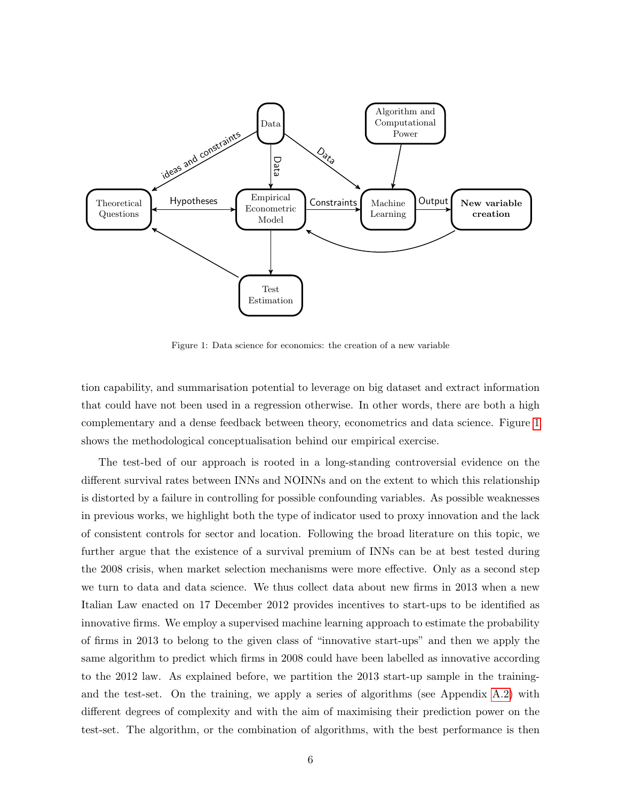<span id="page-5-0"></span>

Figure 1: Data science for economics: the creation of a new variable

tion capability, and summarisation potential to leverage on big dataset and extract information that could have not been used in a regression otherwise. In other words, there are both a high complementary and a dense feedback between theory, econometrics and data science. Figure [1](#page-5-0) shows the methodological conceptualisation behind our empirical exercise.

The test-bed of our approach is rooted in a long-standing controversial evidence on the different survival rates between INNs and NOINNs and on the extent to which this relationship is distorted by a failure in controlling for possible confounding variables. As possible weaknesses in previous works, we highlight both the type of indicator used to proxy innovation and the lack of consistent controls for sector and location. Following the broad literature on this topic, we further argue that the existence of a survival premium of INNs can be at best tested during the 2008 crisis, when market selection mechanisms were more effective. Only as a second step we turn to data and data science. We thus collect data about new firms in 2013 when a new Italian Law enacted on 17 December 2012 provides incentives to start-ups to be identified as innovative firms. We employ a supervised machine learning approach to estimate the probability of firms in 2013 to belong to the given class of "innovative start-ups" and then we apply the same algorithm to predict which firms in 2008 could have been labelled as innovative according to the 2012 law. As explained before, we partition the 2013 start-up sample in the trainingand the test-set. On the training, we apply a series of algorithms (see Appendix [A.2\)](#page-37-0) with different degrees of complexity and with the aim of maximising their prediction power on the test-set. The algorithm, or the combination of algorithms, with the best performance is then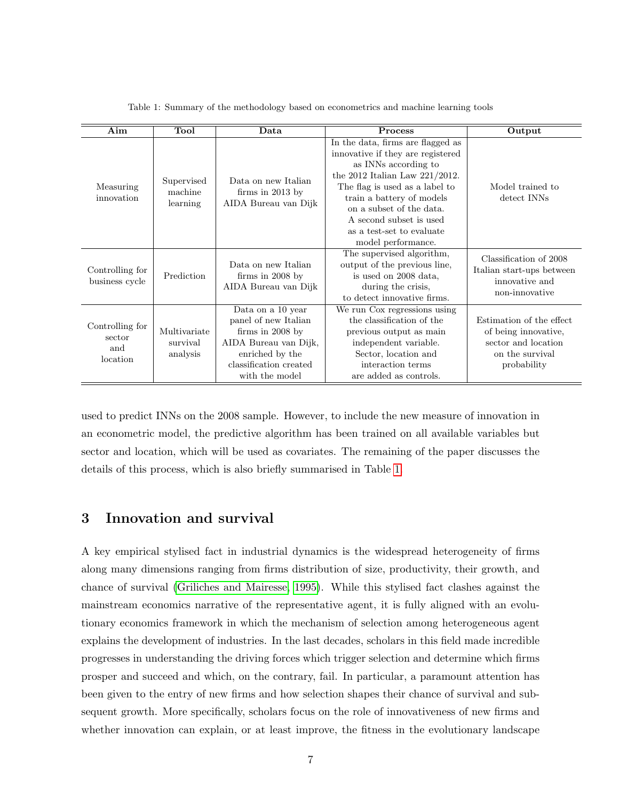<span id="page-6-1"></span>

| Aim                                          | Tool                                 | Data                                                                                                                                                    | <b>Process</b>                                                                                                                                                                                                                                                                                               | Output                                                                                                    |
|----------------------------------------------|--------------------------------------|---------------------------------------------------------------------------------------------------------------------------------------------------------|--------------------------------------------------------------------------------------------------------------------------------------------------------------------------------------------------------------------------------------------------------------------------------------------------------------|-----------------------------------------------------------------------------------------------------------|
| Measuring<br>innovation                      | Supervised<br>machine<br>learning    | Data on new Italian<br>firms in $2013$ by<br>AIDA Bureau van Dijk                                                                                       | In the data, firms are flagged as<br>innovative if they are registered<br>as INNs according to<br>the 2012 Italian Law $221/2012$ .<br>The flag is used as a label to<br>train a battery of models<br>on a subset of the data.<br>A second subset is used<br>as a test-set to evaluate<br>model performance. | Model trained to<br>detect INNs                                                                           |
| Controlling for<br>business cycle            | Prediction                           | Data on new Italian<br>firms in $2008$ by<br>AIDA Bureau van Dijk                                                                                       | The supervised algorithm,<br>output of the previous line,<br>is used on 2008 data,<br>during the crisis,<br>to detect innovative firms.                                                                                                                                                                      | Classification of 2008<br>Italian start-ups between<br>innovative and<br>non-innovative                   |
| Controlling for<br>sector<br>and<br>location | Multivariate<br>survival<br>analysis | Data on a 10 year<br>panel of new Italian<br>firms in $2008$ by<br>AIDA Bureau van Dijk,<br>enriched by the<br>classification created<br>with the model | We run Cox regressions using<br>the classification of the<br>previous output as main<br>independent variable.<br>Sector, location and<br>interaction terms<br>are added as controls.                                                                                                                         | Estimation of the effect<br>of being innovative,<br>sector and location<br>on the survival<br>probability |

Table 1: Summary of the methodology based on econometrics and machine learning tools

used to predict INNs on the 2008 sample. However, to include the new measure of innovation in an econometric model, the predictive algorithm has been trained on all available variables but sector and location, which will be used as covariates. The remaining of the paper discusses the details of this process, which is also briefly summarised in Table [1.](#page-6-1)

# <span id="page-6-0"></span>3 Innovation and survival

A key empirical stylised fact in industrial dynamics is the widespread heterogeneity of firms along many dimensions ranging from firms distribution of size, productivity, their growth, and chance of survival [\(Griliches and Mairesse, 1995\)](#page-32-2). While this stylised fact clashes against the mainstream economics narrative of the representative agent, it is fully aligned with an evolutionary economics framework in which the mechanism of selection among heterogeneous agent explains the development of industries. In the last decades, scholars in this field made incredible progresses in understanding the driving forces which trigger selection and determine which firms prosper and succeed and which, on the contrary, fail. In particular, a paramount attention has been given to the entry of new firms and how selection shapes their chance of survival and subsequent growth. More specifically, scholars focus on the role of innovativeness of new firms and whether innovation can explain, or at least improve, the fitness in the evolutionary landscape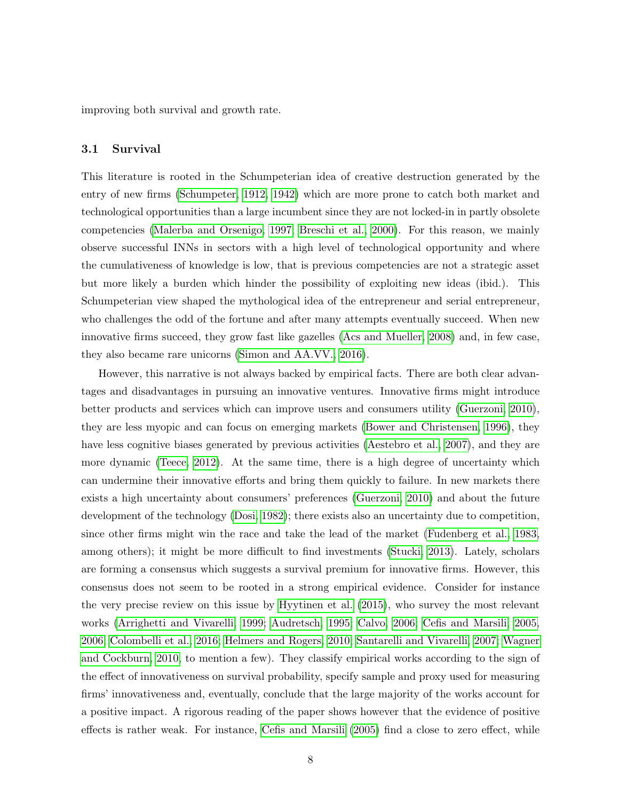improving both survival and growth rate.

#### 3.1 Survival

This literature is rooted in the Schumpeterian idea of creative destruction generated by the entry of new firms [\(Schumpeter, 1912,](#page-34-3) [1942\)](#page-34-4) which are more prone to catch both market and technological opportunities than a large incumbent since they are not locked-in in partly obsolete competencies [\(Malerba and Orsenigo, 1997;](#page-33-6) [Breschi et al., 2000\)](#page-30-2). For this reason, we mainly observe successful INNs in sectors with a high level of technological opportunity and where the cumulativeness of knowledge is low, that is previous competencies are not a strategic asset but more likely a burden which hinder the possibility of exploiting new ideas (ibid.). This Schumpeterian view shaped the mythological idea of the entrepreneur and serial entrepreneur, who challenges the odd of the fortune and after many attempts eventually succeed. When new innovative firms succeed, they grow fast like gazelles [\(Acs and Mueller, 2008\)](#page-29-3) and, in few case, they also became rare unicorns [\(Simon and AA.VV., 2016\)](#page-35-1).

However, this narrative is not always backed by empirical facts. There are both clear advantages and disadvantages in pursuing an innovative ventures. Innovative firms might introduce better products and services which can improve users and consumers utility [\(Guerzoni, 2010\)](#page-32-3), they are less myopic and can focus on emerging markets [\(Bower and Christensen, 1996\)](#page-30-3), they have less cognitive biases generated by previous activities [\(Aestebro et al., 2007\)](#page-29-4), and they are more dynamic [\(Teece, 2012\)](#page-35-2). At the same time, there is a high degree of uncertainty which can undermine their innovative efforts and bring them quickly to failure. In new markets there exists a high uncertainty about consumers' preferences [\(Guerzoni, 2010\)](#page-32-3) and about the future development of the technology [\(Dosi, 1982\)](#page-31-1); there exists also an uncertainty due to competition, since other firms might win the race and take the lead of the market [\(Fudenberg et al., 1983,](#page-32-4) among others); it might be more difficult to find investments [\(Stucki, 2013\)](#page-35-3). Lately, scholars are forming a consensus which suggests a survival premium for innovative firms. However, this consensus does not seem to be rooted in a strong empirical evidence. Consider for instance the very precise review on this issue by [Hyytinen et al.](#page-33-7) [\(2015\)](#page-33-7), who survey the most relevant works [\(Arrighetti and Vivarelli, 1999;](#page-29-5) [Audretsch, 1995;](#page-29-6) [Calvo, 2006;](#page-30-4) [Cefis and Marsili, 2005,](#page-31-2) [2006;](#page-31-3) [Colombelli et al., 2016;](#page-31-4) [Helmers and Rogers, 2010;](#page-32-5) [Santarelli and Vivarelli, 2007;](#page-34-5) [Wagner](#page-35-4) [and Cockburn, 2010,](#page-35-4) to mention a few). They classify empirical works according to the sign of the effect of innovativeness on survival probability, specify sample and proxy used for measuring firms' innovativeness and, eventually, conclude that the large majority of the works account for a positive impact. A rigorous reading of the paper shows however that the evidence of positive effects is rather weak. For instance, [Cefis and Marsili](#page-31-2) [\(2005\)](#page-31-2) find a close to zero effect, while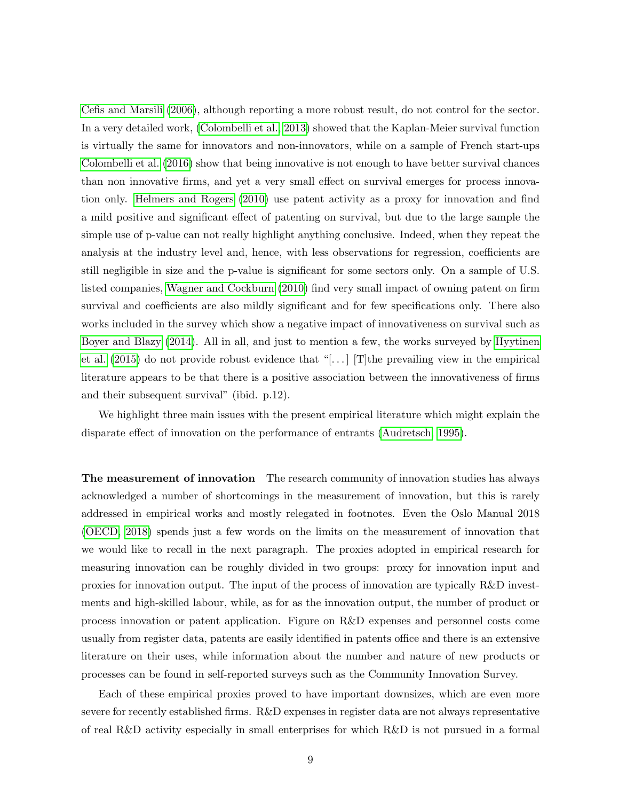[Cefis and Marsili](#page-31-3) [\(2006\)](#page-31-3), although reporting a more robust result, do not control for the sector. In a very detailed work, [\(Colombelli et al., 2013\)](#page-31-5) showed that the Kaplan-Meier survival function is virtually the same for innovators and non-innovators, while on a sample of French start-ups [Colombelli et al.](#page-31-4) [\(2016\)](#page-31-4) show that being innovative is not enough to have better survival chances than non innovative firms, and yet a very small effect on survival emerges for process innovation only. [Helmers and Rogers](#page-32-5) [\(2010\)](#page-32-5) use patent activity as a proxy for innovation and find a mild positive and significant effect of patenting on survival, but due to the large sample the simple use of p-value can not really highlight anything conclusive. Indeed, when they repeat the analysis at the industry level and, hence, with less observations for regression, coefficients are still negligible in size and the p-value is significant for some sectors only. On a sample of U.S. listed companies, [Wagner and Cockburn](#page-35-4) [\(2010\)](#page-35-4) find very small impact of owning patent on firm survival and coefficients are also mildly significant and for few specifications only. There also works included in the survey which show a negative impact of innovativeness on survival such as [Boyer and Blazy](#page-30-5) [\(2014\)](#page-30-5). All in all, and just to mention a few, the works surveyed by [Hyytinen](#page-33-7) [et al.](#page-33-7)  $(2015)$  do not provide robust evidence that "[...] The prevailing view in the empirical literature appears to be that there is a positive association between the innovativeness of firms and their subsequent survival" (ibid. p.12).

We highlight three main issues with the present empirical literature which might explain the disparate effect of innovation on the performance of entrants [\(Audretsch, 1995\)](#page-29-6).

The measurement of innovation The research community of innovation studies has always acknowledged a number of shortcomings in the measurement of innovation, but this is rarely addressed in empirical works and mostly relegated in footnotes. Even the Oslo Manual 2018 [\(OECD, 2018\)](#page-33-0) spends just a few words on the limits on the measurement of innovation that we would like to recall in the next paragraph. The proxies adopted in empirical research for measuring innovation can be roughly divided in two groups: proxy for innovation input and proxies for innovation output. The input of the process of innovation are typically R&D investments and high-skilled labour, while, as for as the innovation output, the number of product or process innovation or patent application. Figure on R&D expenses and personnel costs come usually from register data, patents are easily identified in patents office and there is an extensive literature on their uses, while information about the number and nature of new products or processes can be found in self-reported surveys such as the Community Innovation Survey.

Each of these empirical proxies proved to have important downsizes, which are even more severe for recently established firms. R&D expenses in register data are not always representative of real R&D activity especially in small enterprises for which R&D is not pursued in a formal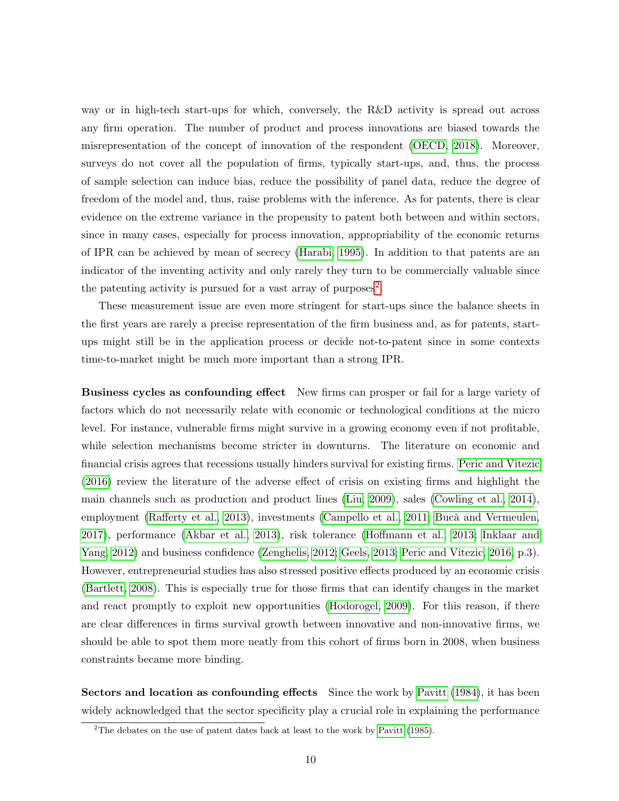way or in high-tech start-ups for which, conversely, the R&D activity is spread out across any firm operation. The number of product and process innovations are biased towards the misrepresentation of the concept of innovation of the respondent [\(OECD, 2018\)](#page-33-0). Moreover, surveys do not cover all the population of firms, typically start-ups, and, thus, the process of sample selection can induce bias, reduce the possibility of panel data, reduce the degree of freedom of the model and, thus, raise problems with the inference. As for patents, there is clear evidence on the extreme variance in the propensity to patent both between and within sectors, since in many cases, especially for process innovation, appropriability of the economic returns of IPR can be achieved by mean of secrecy [\(Harabi, 1995\)](#page-32-6). In addition to that patents are an indicator of the inventing activity and only rarely they turn to be commercially valuable since the patenting activity is pursued for a vast array of purposes<sup>[2](#page-9-0)</sup>.

These measurement issue are even more stringent for start-ups since the balance sheets in the first years are rarely a precise representation of the firm business and, as for patents, startups might still be in the application process or decide not-to-patent since in some contexts time-to-market might be much more important than a strong IPR.

Business cycles as confounding effect New firms can prosper or fail for a large variety of factors which do not necessarily relate with economic or technological conditions at the micro level. For instance, vulnerable firms might survive in a growing economy even if not profitable, while selection mechanisms become stricter in downturns. The literature on economic and financial crisis agrees that recessions usually hinders survival for existing firms. [Peric and Vitezic](#page-34-6) [\(2016\)](#page-34-6) review the literature of the adverse effect of crisis on existing firms and highlight the main channels such as production and product lines [\(Liu, 2009\)](#page-33-8), sales [\(Cowling et al., 2014\)](#page-31-6), employment [\(Rafferty et al., 2013\)](#page-34-7), investments [\(Campello et al., 2011;](#page-30-6) Bucă and Vermeulen, [2017\)](#page-30-7), performance [\(Akbar et al., 2013\)](#page-29-7), risk tolerance [\(Hoffmann et al., 2013;](#page-32-7) [Inklaar and](#page-33-9) [Yang, 2012\)](#page-33-9) and business confidence [\(Zenghelis, 2012;](#page-35-5) [Geels, 2013;](#page-32-8) [Peric and Vitezic, 2016,](#page-34-6) p.3). However, entrepreneurial studies has also stressed positive effects produced by an economic crisis [\(Bartlett, 2008\)](#page-30-8). This is especially true for those firms that can identify changes in the market and react promptly to exploit new opportunities [\(Hodorogel, 2009\)](#page-32-9). For this reason, if there are clear differences in firms survival growth between innovative and non-innovative firms, we should be able to spot them more neatly from this cohort of firms born in 2008, when business constraints became more binding.

Sectors and location as confounding effects Since the work by [Pavitt](#page-34-8) [\(1984\)](#page-34-8), it has been widely acknowledged that the sector specificity play a crucial role in explaining the performance

<span id="page-9-0"></span><sup>&</sup>lt;sup>2</sup>The debates on the use of patent dates back at least to the work by [Pavitt](#page-34-9) [\(1985\)](#page-34-9).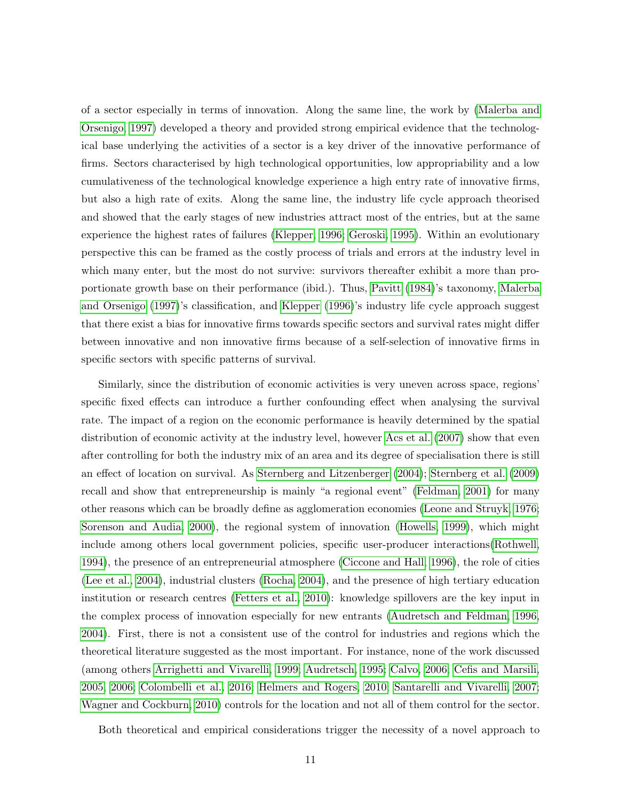of a sector especially in terms of innovation. Along the same line, the work by [\(Malerba and](#page-33-6) [Orsenigo, 1997\)](#page-33-6) developed a theory and provided strong empirical evidence that the technological base underlying the activities of a sector is a key driver of the innovative performance of firms. Sectors characterised by high technological opportunities, low appropriability and a low cumulativeness of the technological knowledge experience a high entry rate of innovative firms, but also a high rate of exits. Along the same line, the industry life cycle approach theorised and showed that the early stages of new industries attract most of the entries, but at the same experience the highest rates of failures [\(Klepper, 1996;](#page-33-10) [Geroski, 1995\)](#page-32-10). Within an evolutionary perspective this can be framed as the costly process of trials and errors at the industry level in which many enter, but the most do not survive: survivors thereafter exhibit a more than proportionate growth base on their performance (ibid.). Thus, [Pavitt](#page-34-8) [\(1984\)](#page-34-8)'s taxonomy, [Malerba](#page-33-6) [and Orsenigo](#page-33-6) [\(1997\)](#page-33-6)'s classification, and [Klepper](#page-33-10) [\(1996\)](#page-33-10)'s industry life cycle approach suggest that there exist a bias for innovative firms towards specific sectors and survival rates might differ between innovative and non innovative firms because of a self-selection of innovative firms in specific sectors with specific patterns of survival.

Similarly, since the distribution of economic activities is very uneven across space, regions' specific fixed effects can introduce a further confounding effect when analysing the survival rate. The impact of a region on the economic performance is heavily determined by the spatial distribution of economic activity at the industry level, however [Acs et al.](#page-29-8) [\(2007\)](#page-29-8) show that even after controlling for both the industry mix of an area and its degree of specialisation there is still an effect of location on survival. As [Sternberg and Litzenberger](#page-35-6) [\(2004\)](#page-35-6); [Sternberg et al.](#page-35-7) [\(2009\)](#page-35-7) recall and show that entrepreneurship is mainly "a regional event" [\(Feldman, 2001\)](#page-31-7) for many other reasons which can be broadly define as agglomeration economies [\(Leone and Struyk, 1976;](#page-33-11) [Sorenson and Audia, 2000\)](#page-35-8), the regional system of innovation [\(Howells, 1999\)](#page-33-12), which might include among others local government policies, specific user-producer interactions[\(Rothwell,](#page-34-10) [1994\)](#page-34-10), the presence of an entrepreneurial atmosphere [\(Ciccone and Hall, 1996\)](#page-31-8), the role of cities [\(Lee et al., 2004\)](#page-33-13), industrial clusters [\(Rocha, 2004\)](#page-34-11), and the presence of high tertiary education institution or research centres [\(Fetters et al., 2010\)](#page-31-9): knowledge spillovers are the key input in the complex process of innovation especially for new entrants [\(Audretsch and Feldman, 1996,](#page-30-9) [2004\)](#page-30-10). First, there is not a consistent use of the control for industries and regions which the theoretical literature suggested as the most important. For instance, none of the work discussed (among others [Arrighetti and Vivarelli, 1999;](#page-29-5) [Audretsch, 1995;](#page-29-6) [Calvo, 2006;](#page-30-4) [Cefis and Marsili,](#page-31-2) [2005,](#page-31-2) [2006;](#page-31-3) [Colombelli et al., 2016;](#page-31-4) [Helmers and Rogers, 2010;](#page-32-5) [Santarelli and Vivarelli, 2007;](#page-34-5) [Wagner and Cockburn, 2010\)](#page-35-4) controls for the location and not all of them control for the sector.

Both theoretical and empirical considerations trigger the necessity of a novel approach to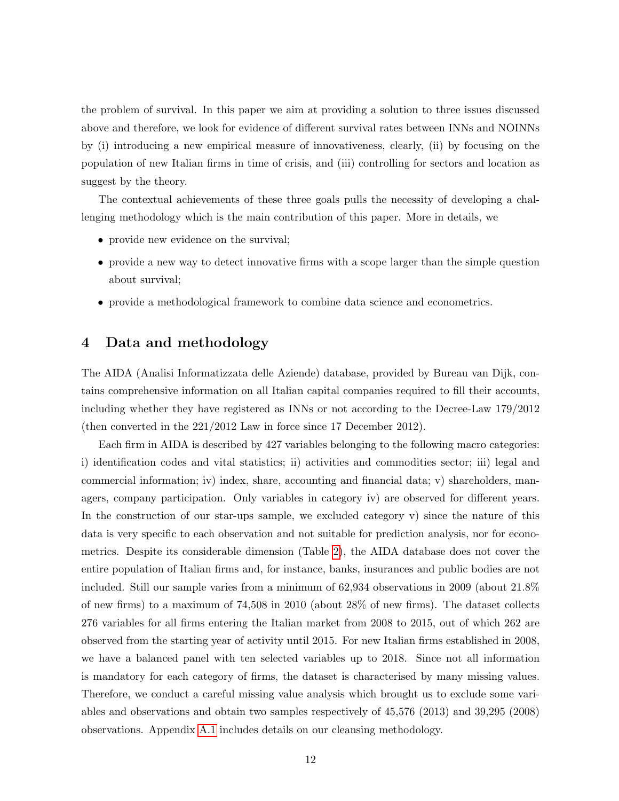the problem of survival. In this paper we aim at providing a solution to three issues discussed above and therefore, we look for evidence of different survival rates between INNs and NOINNs by (i) introducing a new empirical measure of innovativeness, clearly, (ii) by focusing on the population of new Italian firms in time of crisis, and (iii) controlling for sectors and location as suggest by the theory.

The contextual achievements of these three goals pulls the necessity of developing a challenging methodology which is the main contribution of this paper. More in details, we

- provide new evidence on the survival;
- provide a new way to detect innovative firms with a scope larger than the simple question about survival;
- provide a methodological framework to combine data science and econometrics.

### <span id="page-11-0"></span>4 Data and methodology

The AIDA (Analisi Informatizzata delle Aziende) database, provided by Bureau van Dijk, contains comprehensive information on all Italian capital companies required to fill their accounts, including whether they have registered as INNs or not according to the Decree-Law 179/2012 (then converted in the 221/2012 Law in force since 17 December 2012).

Each firm in AIDA is described by 427 variables belonging to the following macro categories: i) identification codes and vital statistics; ii) activities and commodities sector; iii) legal and commercial information; iv) index, share, accounting and financial data; v) shareholders, managers, company participation. Only variables in category iv) are observed for different years. In the construction of our star-ups sample, we excluded category v) since the nature of this data is very specific to each observation and not suitable for prediction analysis, nor for econometrics. Despite its considerable dimension (Table [2\)](#page-13-0), the AIDA database does not cover the entire population of Italian firms and, for instance, banks, insurances and public bodies are not included. Still our sample varies from a minimum of 62,934 observations in 2009 (about 21.8% of new firms) to a maximum of 74,508 in 2010 (about 28% of new firms). The dataset collects 276 variables for all firms entering the Italian market from 2008 to 2015, out of which 262 are observed from the starting year of activity until 2015. For new Italian firms established in 2008, we have a balanced panel with ten selected variables up to 2018. Since not all information is mandatory for each category of firms, the dataset is characterised by many missing values. Therefore, we conduct a careful missing value analysis which brought us to exclude some variables and observations and obtain two samples respectively of 45,576 (2013) and 39,295 (2008) observations. Appendix [A.1](#page-36-0) includes details on our cleansing methodology.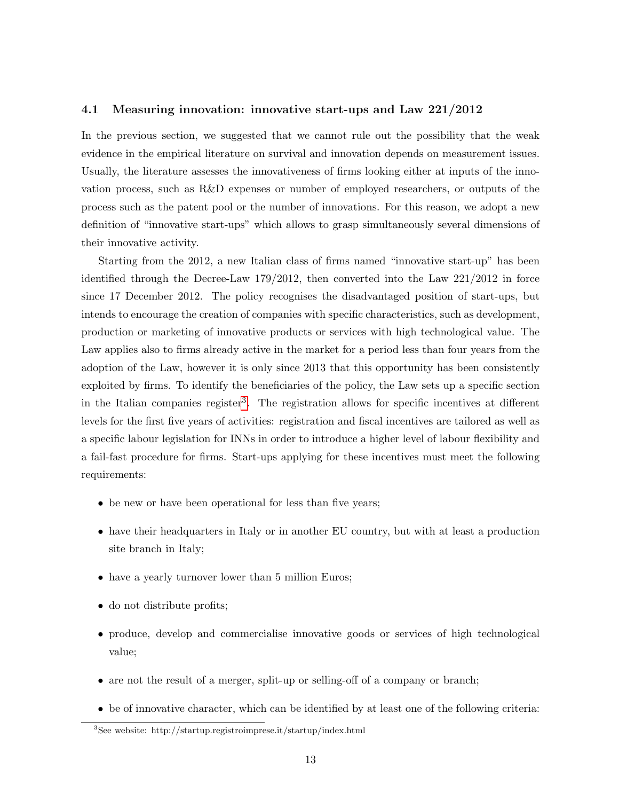#### 4.1 Measuring innovation: innovative start-ups and Law 221/2012

In the previous section, we suggested that we cannot rule out the possibility that the weak evidence in the empirical literature on survival and innovation depends on measurement issues. Usually, the literature assesses the innovativeness of firms looking either at inputs of the innovation process, such as R&D expenses or number of employed researchers, or outputs of the process such as the patent pool or the number of innovations. For this reason, we adopt a new definition of "innovative start-ups" which allows to grasp simultaneously several dimensions of their innovative activity.

Starting from the 2012, a new Italian class of firms named "innovative start-up" has been identified through the Decree-Law 179/2012, then converted into the Law 221/2012 in force since 17 December 2012. The policy recognises the disadvantaged position of start-ups, but intends to encourage the creation of companies with specific characteristics, such as development, production or marketing of innovative products or services with high technological value. The Law applies also to firms already active in the market for a period less than four years from the adoption of the Law, however it is only since 2013 that this opportunity has been consistently exploited by firms. To identify the beneficiaries of the policy, the Law sets up a specific section in the Italian companies register<sup>[3](#page-12-0)</sup>. The registration allows for specific incentives at different levels for the first five years of activities: registration and fiscal incentives are tailored as well as a specific labour legislation for INNs in order to introduce a higher level of labour flexibility and a fail-fast procedure for firms. Start-ups applying for these incentives must meet the following requirements:

- be new or have been operational for less than five years;
- have their headquarters in Italy or in another EU country, but with at least a production site branch in Italy;
- have a yearly turnover lower than 5 million Euros;
- do not distribute profits;
- produce, develop and commercialise innovative goods or services of high technological value;
- are not the result of a merger, split-up or selling-off of a company or branch;
- be of innovative character, which can be identified by at least one of the following criteria:

<span id="page-12-0"></span><sup>3</sup>See website: http://startup.registroimprese.it/startup/index.html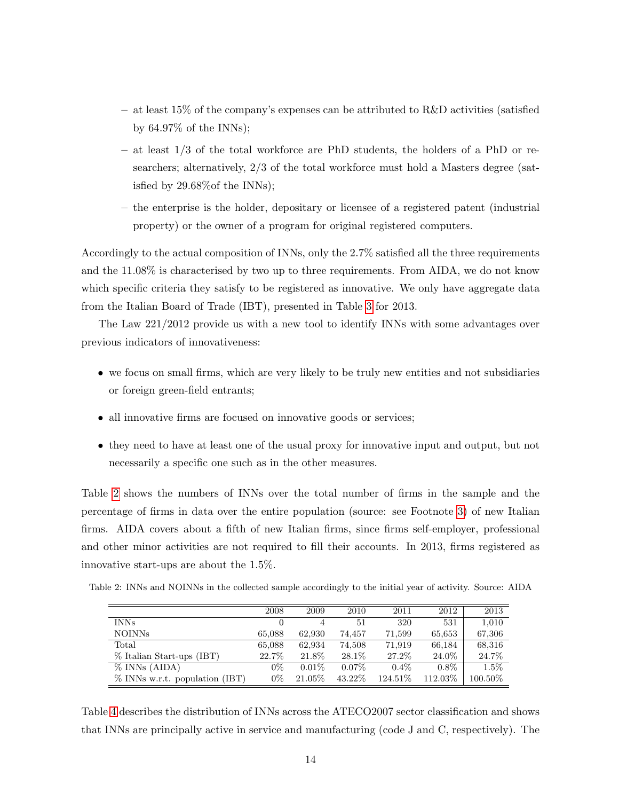- $-$  at least 15% of the company's expenses can be attributed to R&D activities (satisfied by 64.97% of the INNs);
- $-$  at least  $1/3$  of the total workforce are PhD students, the holders of a PhD or researchers; alternatively, 2/3 of the total workforce must hold a Masters degree (satisfied by 29.68%of the INNs);
- the enterprise is the holder, depositary or licensee of a registered patent (industrial property) or the owner of a program for original registered computers.

Accordingly to the actual composition of INNs, only the 2.7% satisfied all the three requirements and the 11.08% is characterised by two up to three requirements. From AIDA, we do not know which specific criteria they satisfy to be registered as innovative. We only have aggregate data from the Italian Board of Trade (IBT), presented in Table [3](#page-14-0) for 2013.

The Law 221/2012 provide us with a new tool to identify INNs with some advantages over previous indicators of innovativeness:

- we focus on small firms, which are very likely to be truly new entities and not subsidiaries or foreign green-field entrants;
- all innovative firms are focused on innovative goods or services;
- they need to have at least one of the usual proxy for innovative input and output, but not necessarily a specific one such as in the other measures.

Table [2](#page-13-0) shows the numbers of INNs over the total number of firms in the sample and the percentage of firms in data over the entire population (source: see Footnote [3\)](#page-12-0) of new Italian firms. AIDA covers about a fifth of new Italian firms, since firms self-employer, professional and other minor activities are not required to fill their accounts. In 2013, firms registered as innovative start-ups are about the 1.5%.

<span id="page-13-0"></span>

| Table 2: INNs and NOINNs in the collected sample accordingly to the initial year of activity. Source: AIDA |  |  |  |
|------------------------------------------------------------------------------------------------------------|--|--|--|
|------------------------------------------------------------------------------------------------------------|--|--|--|

|                                   | 2008   | 2009     | 2010     | 2011     | 2012    | 2013       |
|-----------------------------------|--------|----------|----------|----------|---------|------------|
| <b>INNs</b>                       |        | 4        | 51       | 320      | 531     | 1,010      |
| NOINNs                            | 65,088 | 62,930   | 74.457   | 71,599   | 65,653  | 67,306     |
| Total                             | 65,088 | 62,934   | 74,508   | 71,919   | 66,184  | 68,316     |
| % Italian Start-ups (IBT)         | 22.7%  | 21.8%    | 28.1\%   | 27.2%    | 24.0%   | 24.7%      |
| $\%$ INNs (AIDA)                  | $0\%$  | $0.01\%$ | $0.07\%$ | $0.4\%$  | $0.8\%$ | $1.5\%$    |
| $\%$ INNs w.r.t. population (IBT) | $0\%$  | 21.05%   | 43.22%   | 124.51\% | 112.03% | $100.50\%$ |

Table [4](#page-14-1) describes the distribution of INNs across the ATECO2007 sector classification and shows that INNs are principally active in service and manufacturing (code J and C, respectively). The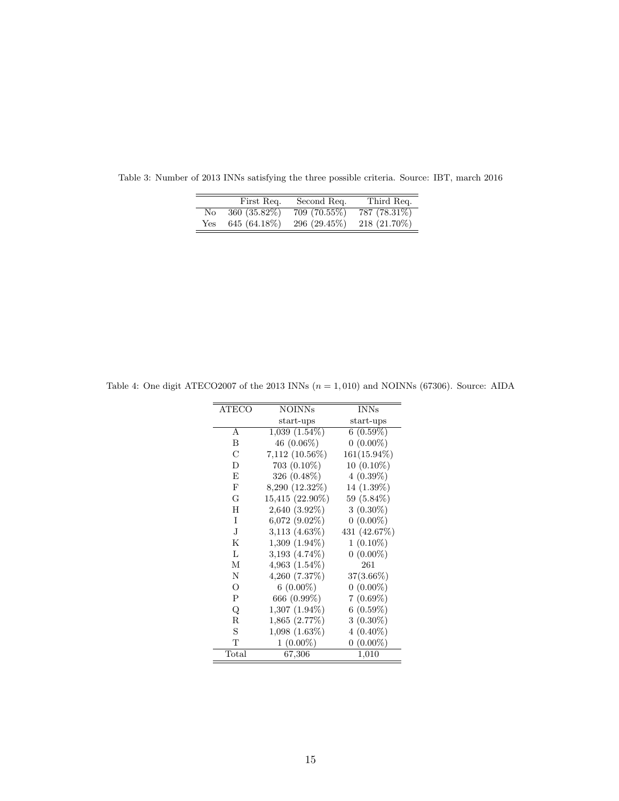|     | First Req.    | Second Req.   | Third Req.   |
|-----|---------------|---------------|--------------|
| No  | 360 (35.82\%) | 709 (70.55%)  | 787 (78.31%) |
| Yes | 645 (64.18%)  | 296 (29.45\%) | 218 (21.70%) |

<span id="page-14-0"></span>Table 3: Number of 2013 INNs satisfying the three possible criteria. Source: IBT, march 2016

| <b>ATECO</b><br><b>INNs</b><br><b>NOINNs</b><br>start-ups<br>$1,039(1.54\%)$<br>A<br>46 $(0.06\%)$<br>B<br>С<br>7,112 (10.56%)<br>D<br>$703(0.10\%)$<br>E<br>326 (0.48%)<br>F<br>8,290 (12.32%)<br>G<br>15,415 (22.90%)<br>H<br>$2,640(3.92\%)$<br>T<br>$6,072$ $(9.02\%)$<br>J<br>$3,113$ $(4.63\%)$<br>K<br>$1,309$ $(1.94\%)$<br>L<br>$3,193$ $(4.74\%)$<br>М<br>$4,963(1.54\%)$<br>261<br>Ν<br>4,260(7.37%)<br>$6(0.00\%)$<br>O<br>P<br>666 (0.99%)<br>Q<br>$1,307(1.94\%)$<br>$\mathbf R$<br>1,865(2.77%)<br>S<br>1,098(1.63%)<br>$1(0.00\%)$<br>T |  |                |
|---------------------------------------------------------------------------------------------------------------------------------------------------------------------------------------------------------------------------------------------------------------------------------------------------------------------------------------------------------------------------------------------------------------------------------------------------------------------------------------------------------------------------------------------------------|--|----------------|
|                                                                                                                                                                                                                                                                                                                                                                                                                                                                                                                                                         |  |                |
|                                                                                                                                                                                                                                                                                                                                                                                                                                                                                                                                                         |  | start-ups      |
|                                                                                                                                                                                                                                                                                                                                                                                                                                                                                                                                                         |  | $6(0.59\%)$    |
|                                                                                                                                                                                                                                                                                                                                                                                                                                                                                                                                                         |  | $0(0.00\%)$    |
|                                                                                                                                                                                                                                                                                                                                                                                                                                                                                                                                                         |  | $161(15.94\%)$ |
|                                                                                                                                                                                                                                                                                                                                                                                                                                                                                                                                                         |  | $10(0.10\%)$   |
|                                                                                                                                                                                                                                                                                                                                                                                                                                                                                                                                                         |  | $4(0.39\%)$    |
|                                                                                                                                                                                                                                                                                                                                                                                                                                                                                                                                                         |  | 14 (1.39%)     |
|                                                                                                                                                                                                                                                                                                                                                                                                                                                                                                                                                         |  | 59 (5.84%)     |
|                                                                                                                                                                                                                                                                                                                                                                                                                                                                                                                                                         |  | $3(0.30\%)$    |
|                                                                                                                                                                                                                                                                                                                                                                                                                                                                                                                                                         |  | $0(0.00\%)$    |
|                                                                                                                                                                                                                                                                                                                                                                                                                                                                                                                                                         |  | 431 (42.67%)   |
|                                                                                                                                                                                                                                                                                                                                                                                                                                                                                                                                                         |  | $1(0.10\%)$    |
|                                                                                                                                                                                                                                                                                                                                                                                                                                                                                                                                                         |  | $0(0.00\%)$    |
|                                                                                                                                                                                                                                                                                                                                                                                                                                                                                                                                                         |  |                |
|                                                                                                                                                                                                                                                                                                                                                                                                                                                                                                                                                         |  | $37(3.66\%)$   |
|                                                                                                                                                                                                                                                                                                                                                                                                                                                                                                                                                         |  | $0(0.00\%)$    |
|                                                                                                                                                                                                                                                                                                                                                                                                                                                                                                                                                         |  | $7(0.69\%)$    |
|                                                                                                                                                                                                                                                                                                                                                                                                                                                                                                                                                         |  | $6(0.59\%)$    |
|                                                                                                                                                                                                                                                                                                                                                                                                                                                                                                                                                         |  | $3(0.30\%)$    |
|                                                                                                                                                                                                                                                                                                                                                                                                                                                                                                                                                         |  | $4(0.40\%)$    |
|                                                                                                                                                                                                                                                                                                                                                                                                                                                                                                                                                         |  | $0(0.00\%)$    |
| Total<br>67,306<br>1,010                                                                                                                                                                                                                                                                                                                                                                                                                                                                                                                                |  |                |

<span id="page-14-1"></span>Table 4: One digit ATECO2007 of the 2013 INNs  $(n = 1, 010)$  and NOINNs (67306). Source: AIDA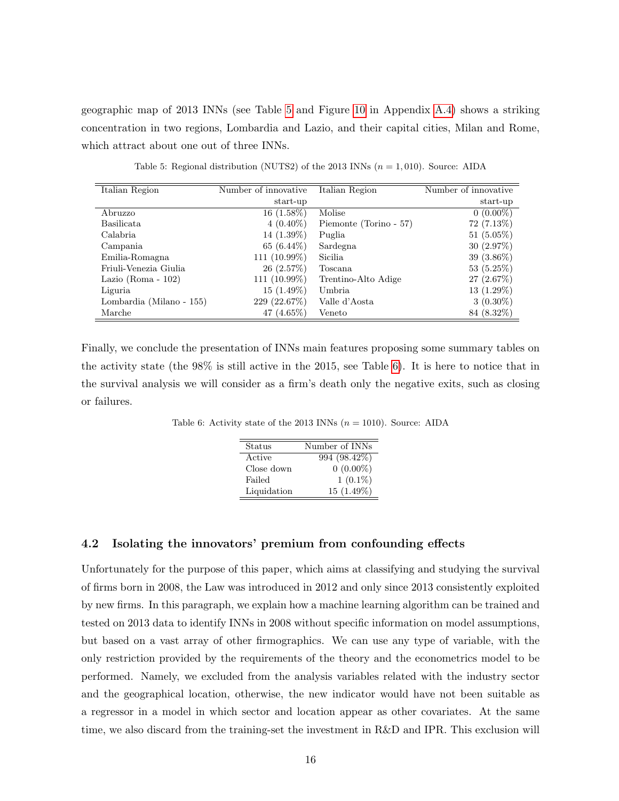geographic map of 2013 INNs (see Table [5](#page-15-0) and Figure [10](#page-41-0) in Appendix [A.4\)](#page-40-0) shows a striking concentration in two regions, Lombardia and Lazio, and their capital cities, Milan and Rome, which attract about one out of three INNs.

<span id="page-15-0"></span>

| Italian Region           | Number of innovative | Italian Region         | Number of innovative |
|--------------------------|----------------------|------------------------|----------------------|
|                          | start-up             |                        | start-up             |
| Abruzzo                  | $16(1.58\%)$         | Molise                 | $0(0.00\%)$          |
| Basilicata               | $4(0.40\%)$          | Piemonte (Torino - 57) | $72(7.13\%)$         |
| Calabria                 | $14(1.39\%)$         | Puglia                 | $51(5.05\%)$         |
| Campania                 | 65 $(6.44\%)$        | Sardegna               | 30(2.97%)            |
| Emilia-Romagna           | 111 $(10.99%)$       | Sicilia                | $39(3.86\%)$         |
| Friuli-Venezia Giulia    | 26(2.57%)            | Toscana                | 53(5.25%)            |
| Lazio (Roma - $102$ )    | $111(10.99\%)$       | Trentino-Alto Adige    | 27(2.67%)            |
| Liguria                  | $15(1.49\%)$         | Umbria                 | $13(1.29\%)$         |
| Lombardia (Milano - 155) | 229 (22.67%)         | Valle d'Aosta          | $3(0.30\%)$          |
| Marche                   | $(4.65\%)$<br>47     | Veneto                 | 84 (8.32\%)          |

Table 5: Regional distribution (NUTS2) of the 2013 INNs  $(n = 1, 010)$ . Source: AIDA

<span id="page-15-1"></span>Finally, we conclude the presentation of INNs main features proposing some summary tables on the activity state (the 98% is still active in the 2015, see Table [6\)](#page-15-1). It is here to notice that in the survival analysis we will consider as a firm's death only the negative exits, such as closing or failures.

Table 6: Activity state of the 2013 INNs  $(n = 1010)$ . Source: AIDA

| Status      | Number of INNs |
|-------------|----------------|
| Active      | 994 (98.42%)   |
| Close down  | $0(0.00\%)$    |
| Failed      | $1(0.1\%)$     |
| Liquidation | $15(1.49\%)$   |

#### 4.2 Isolating the innovators' premium from confounding effects

Unfortunately for the purpose of this paper, which aims at classifying and studying the survival of firms born in 2008, the Law was introduced in 2012 and only since 2013 consistently exploited by new firms. In this paragraph, we explain how a machine learning algorithm can be trained and tested on 2013 data to identify INNs in 2008 without specific information on model assumptions, but based on a vast array of other firmographics. We can use any type of variable, with the only restriction provided by the requirements of the theory and the econometrics model to be performed. Namely, we excluded from the analysis variables related with the industry sector and the geographical location, otherwise, the new indicator would have not been suitable as a regressor in a model in which sector and location appear as other covariates. At the same time, we also discard from the training-set the investment in R&D and IPR. This exclusion will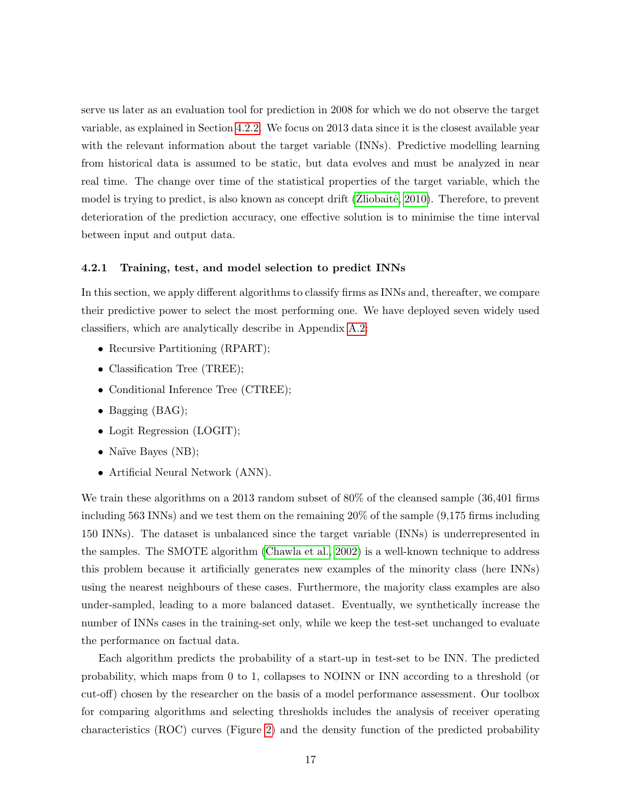serve us later as an evaluation tool for prediction in 2008 for which we do not observe the target variable, as explained in Section [4.2.2.](#page-20-0) We focus on 2013 data since it is the closest available year with the relevant information about the target variable (INNs). Predictive modelling learning from historical data is assumed to be static, but data evolves and must be analyzed in near real time. The change over time of the statistical properties of the target variable, which the model is trying to predict, is also known as concept drift  $(Zliobait\hat{e}, 2010)$ . Therefore, to prevent deterioration of the prediction accuracy, one effective solution is to minimise the time interval between input and output data.

#### <span id="page-16-0"></span>4.2.1 Training, test, and model selection to predict INNs

In this section, we apply different algorithms to classify firms as INNs and, thereafter, we compare their predictive power to select the most performing one. We have deployed seven widely used classifiers, which are analytically describe in Appendix [A.2:](#page-37-0)

- Recursive Partitioning (RPART);
- Classification Tree (TREE);
- Conditional Inference Tree (CTREE);
- Bagging (BAG);
- Logit Regression (LOGIT);
- Naïve Bayes (NB);
- Artificial Neural Network (ANN).

We train these algorithms on a 2013 random subset of 80% of the cleansed sample  $(36,401)$  firms including 563 INNs) and we test them on the remaining 20% of the sample (9,175 firms including 150 INNs). The dataset is unbalanced since the target variable (INNs) is underrepresented in the samples. The SMOTE algorithm [\(Chawla et al., 2002\)](#page-31-10) is a well-known technique to address this problem because it artificially generates new examples of the minority class (here INNs) using the nearest neighbours of these cases. Furthermore, the majority class examples are also under-sampled, leading to a more balanced dataset. Eventually, we synthetically increase the number of INNs cases in the training-set only, while we keep the test-set unchanged to evaluate the performance on factual data.

Each algorithm predicts the probability of a start-up in test-set to be INN. The predicted probability, which maps from 0 to 1, collapses to NOINN or INN according to a threshold (or cut-off) chosen by the researcher on the basis of a model performance assessment. Our toolbox for comparing algorithms and selecting thresholds includes the analysis of receiver operating characteristics (ROC) curves (Figure [2\)](#page-17-0) and the density function of the predicted probability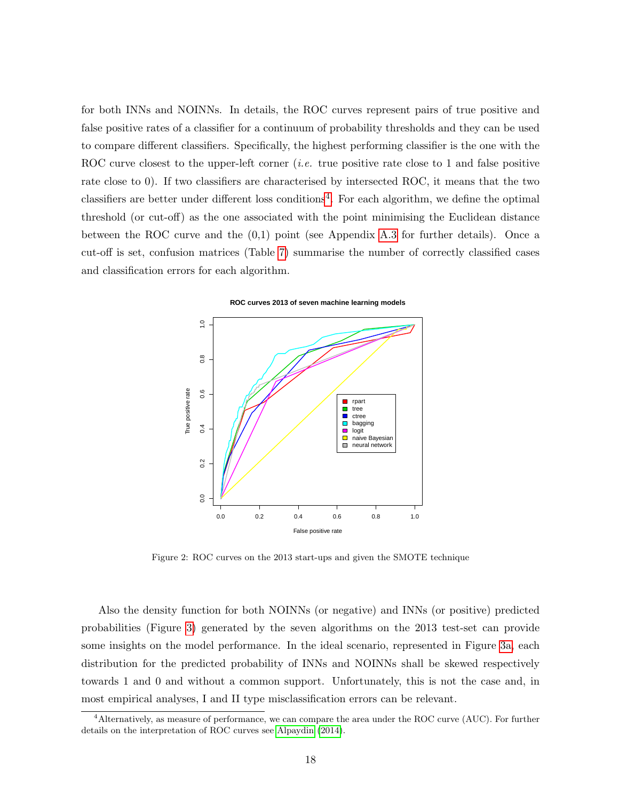for both INNs and NOINNs. In details, the ROC curves represent pairs of true positive and false positive rates of a classifier for a continuum of probability thresholds and they can be used to compare different classifiers. Specifically, the highest performing classifier is the one with the ROC curve closest to the upper-left corner *(i.e.* true positive rate close to 1 and false positive rate close to 0). If two classifiers are characterised by intersected ROC, it means that the two classifiers are better under different loss conditions<sup>[4](#page-17-1)</sup>. For each algorithm, we define the optimal threshold (or cut-off) as the one associated with the point minimising the Euclidean distance between the ROC curve and the  $(0,1)$  point (see Appendix [A.3](#page-39-0) for further details). Once a cut-off is set, confusion matrices (Table [7\)](#page-19-0) summarise the number of correctly classified cases and classification errors for each algorithm.



<span id="page-17-0"></span>

Figure 2: ROC curves on the 2013 start-ups and given the SMOTE technique

Also the density function for both NOINNs (or negative) and INNs (or positive) predicted probabilities (Figure [3\)](#page-18-0) generated by the seven algorithms on the 2013 test-set can provide some insights on the model performance. In the ideal scenario, represented in Figure [3a,](#page-18-1) each distribution for the predicted probability of INNs and NOINNs shall be skewed respectively towards 1 and 0 and without a common support. Unfortunately, this is not the case and, in most empirical analyses, I and II type misclassification errors can be relevant.

<span id="page-17-1"></span><sup>4</sup>Alternatively, as measure of performance, we can compare the area under the ROC curve (AUC). For further details on the interpretation of ROC curves see [Alpaydin](#page-29-9) [\(2014\)](#page-29-9).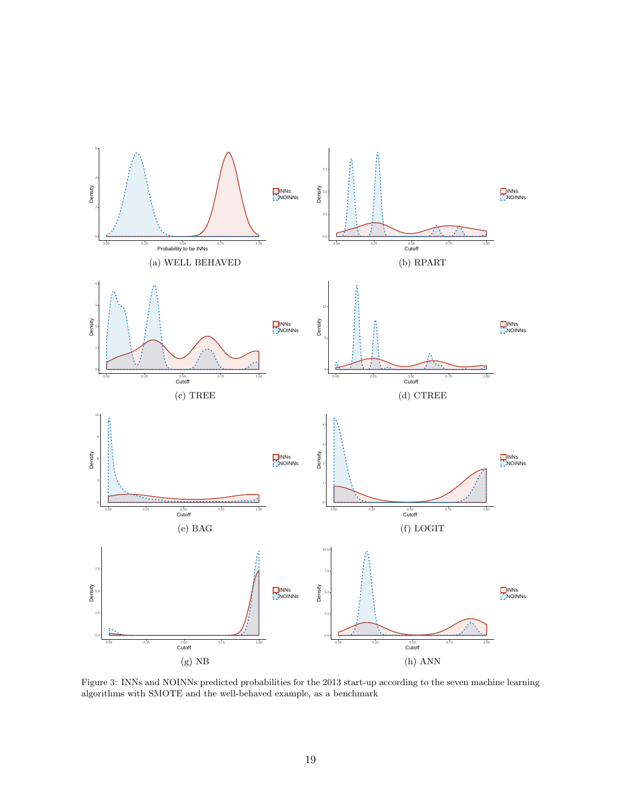<span id="page-18-1"></span><span id="page-18-0"></span>

<span id="page-18-3"></span><span id="page-18-2"></span>Figure 3: INNs and NOINNs predicted probabilities for the 2013 start-up according to the seven machine learning algorithms with SMOTE and the well-behaved example, as a benchmark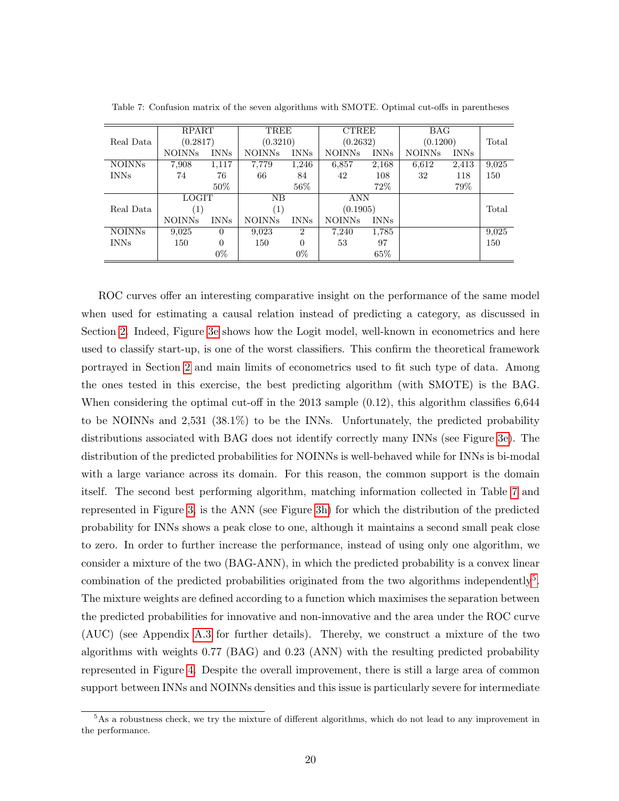|               | <b>RPART</b>  |             | TREE             |                | <b>CTREE</b>  |             | BAG           |             |       |
|---------------|---------------|-------------|------------------|----------------|---------------|-------------|---------------|-------------|-------|
| Real Data     | (0.2817)      |             | (0.3210)         |                | (0.2632)      |             | (0.1200)      |             | Total |
|               | <b>NOINNs</b> | <b>INNs</b> | <b>NOINNs</b>    | <b>INNs</b>    | <b>NOINNs</b> | <b>INNs</b> | <b>NOINNs</b> | <b>INNs</b> |       |
| <b>NOINNs</b> | 7,908         | 1,117       | 7,779            | 1,246          | 6,857         | 2,168       | 6,612         | 2,413       | 9,025 |
| <b>INNs</b>   | 74            | 76          | 66               | 84             | 42            | 108         | 32            | 118         | 150   |
|               |               | $50\%$      |                  | $56\%$         |               | 72%         |               | 79%         |       |
|               | <b>LOGIT</b>  |             | NΒ               |                | <b>ANN</b>    |             |               |             |       |
| Real Data     | (1)           |             | $\left(1\right)$ |                | (0.1905)      |             |               |             | Total |
|               | <b>NOINNs</b> | <b>INNs</b> | <b>NOINNs</b>    | <b>INNs</b>    | <b>NOINNs</b> | <b>INNs</b> |               |             |       |
| <b>NOINNs</b> | 9,025         | $\Omega$    | 9,023            | $\overline{2}$ | 7,240         | 1,785       |               |             | 9,025 |
| <b>INNs</b>   | 150           | $\theta$    | 150              | $\Omega$       | 53            | 97          |               |             | 150   |
|               |               | $0\%$       |                  | $0\%$          |               | 65\%        |               |             |       |

<span id="page-19-0"></span>Table 7: Confusion matrix of the seven algorithms with SMOTE. Optimal cut-offs in parentheses

ROC curves offer an interesting comparative insight on the performance of the same model when used for estimating a causal relation instead of predicting a category, as discussed in Section [2.](#page-2-0) Indeed, Figure [3e](#page-18-2) shows how the Logit model, well-known in econometrics and here used to classify start-up, is one of the worst classifiers. This confirm the theoretical framework portrayed in Section [2](#page-2-0) and main limits of econometrics used to fit such type of data. Among the ones tested in this exercise, the best predicting algorithm (with SMOTE) is the BAG. When considering the optimal cut-off in the 2013 sample  $(0.12)$ , this algorithm classifies 6,644 to be NOINNs and 2,531 (38.1%) to be the INNs. Unfortunately, the predicted probability distributions associated with BAG does not identify correctly many INNs (see Figure [3e\)](#page-18-2). The distribution of the predicted probabilities for NOINNs is well-behaved while for INNs is bi-modal with a large variance across its domain. For this reason, the common support is the domain itself. The second best performing algorithm, matching information collected in Table [7](#page-19-0) and represented in Figure [3,](#page-18-0) is the ANN (see Figure [3h\)](#page-18-3) for which the distribution of the predicted probability for INNs shows a peak close to one, although it maintains a second small peak close to zero. In order to further increase the performance, instead of using only one algorithm, we consider a mixture of the two (BAG-ANN), in which the predicted probability is a convex linear combination of the predicted probabilities originated from the two algorithms independently<sup>[5](#page-19-1)</sup>. The mixture weights are defined according to a function which maximises the separation between the predicted probabilities for innovative and non-innovative and the area under the ROC curve (AUC) (see Appendix [A.3](#page-39-0) for further details). Thereby, we construct a mixture of the two algorithms with weights 0.77 (BAG) and 0.23 (ANN) with the resulting predicted probability represented in Figure [4.](#page-20-1) Despite the overall improvement, there is still a large area of common support between INNs and NOINNs densities and this issue is particularly severe for intermediate

<span id="page-19-1"></span><sup>&</sup>lt;sup>5</sup>As a robustness check, we try the mixture of different algorithms, which do not lead to any improvement in the performance.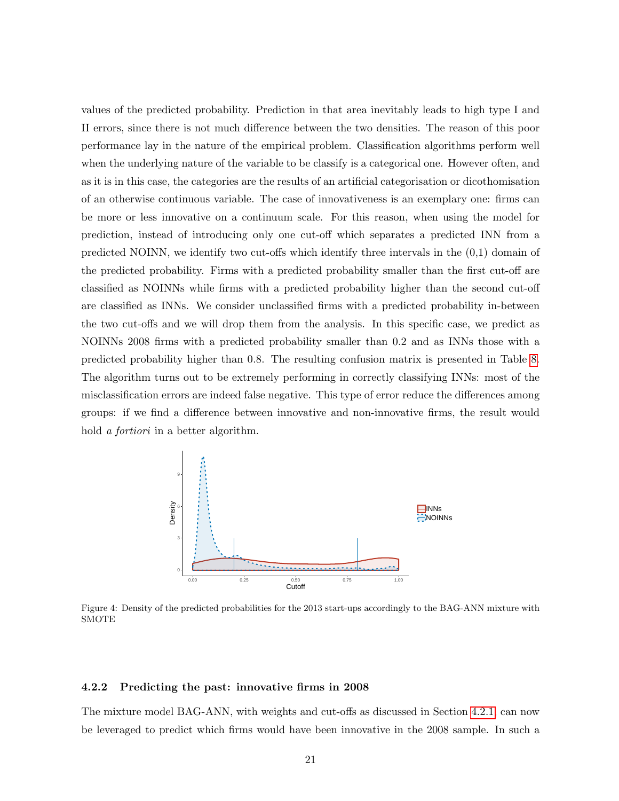values of the predicted probability. Prediction in that area inevitably leads to high type I and II errors, since there is not much difference between the two densities. The reason of this poor performance lay in the nature of the empirical problem. Classification algorithms perform well when the underlying nature of the variable to be classify is a categorical one. However often, and as it is in this case, the categories are the results of an artificial categorisation or dicothomisation of an otherwise continuous variable. The case of innovativeness is an exemplary one: firms can be more or less innovative on a continuum scale. For this reason, when using the model for prediction, instead of introducing only one cut-off which separates a predicted INN from a predicted NOINN, we identify two cut-offs which identify three intervals in the (0,1) domain of the predicted probability. Firms with a predicted probability smaller than the first cut-off are classified as NOINNs while firms with a predicted probability higher than the second cut-off are classified as INNs. We consider unclassified firms with a predicted probability in-between the two cut-offs and we will drop them from the analysis. In this specific case, we predict as NOINNs 2008 firms with a predicted probability smaller than 0.2 and as INNs those with a predicted probability higher than 0.8. The resulting confusion matrix is presented in Table [8.](#page-21-1) The algorithm turns out to be extremely performing in correctly classifying INNs: most of the misclassification errors are indeed false negative. This type of error reduce the differences among groups: if we find a difference between innovative and non-innovative firms, the result would hold a fortiori in a better algorithm.

<span id="page-20-1"></span>

Figure 4: Density of the predicted probabilities for the 2013 start-ups accordingly to the BAG-ANN mixture with SMOTE

#### <span id="page-20-0"></span>4.2.2 Predicting the past: innovative firms in 2008

The mixture model BAG-ANN, with weights and cut-offs as discussed in Section [4.2.1,](#page-16-0) can now be leveraged to predict which firms would have been innovative in the 2008 sample. In such a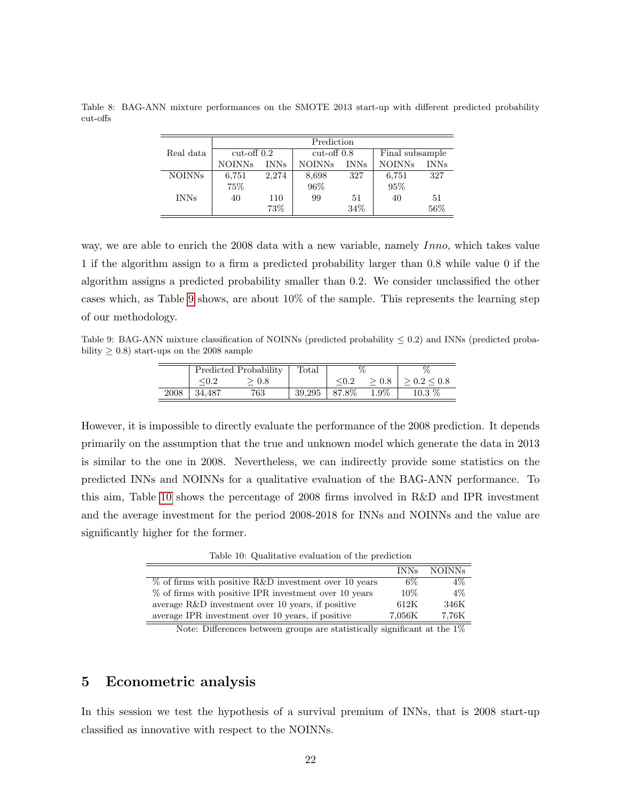|               | Prediction    |             |               |             |                 |             |  |  |  |
|---------------|---------------|-------------|---------------|-------------|-----------------|-------------|--|--|--|
| Real data     | $cut-off$ 0.2 |             | $cut-off$ 0.8 |             | Final subsample |             |  |  |  |
|               | <b>NOINNs</b> | <b>INNs</b> | <b>NOINNs</b> | <b>INNs</b> | <b>NOINNs</b>   | <b>INNs</b> |  |  |  |
| <b>NOINNs</b> | 6,751         | 2,274       | 8,698         | 327         | 6,751           | 327         |  |  |  |
|               | 75%           |             | $96\%$        |             | 95%             |             |  |  |  |
| <b>INNs</b>   | 40            | 110         | 99            | 51          | 40              | 51          |  |  |  |
|               |               | 73%         |               | 34%         |                 | 56%         |  |  |  |

<span id="page-21-1"></span>Table 8: BAG-ANN mixture performances on the SMOTE 2013 start-up with different predicted probability cut-offs

way, we are able to enrich the 2008 data with a new variable, namely Inno, which takes value 1 if the algorithm assign to a firm a predicted probability larger than 0.8 while value 0 if the algorithm assigns a predicted probability smaller than 0.2. We consider unclassified the other cases which, as Table [9](#page-21-2) shows, are about 10% of the sample. This represents the learning step of our methodology.

<span id="page-21-2"></span>Table 9: BAG-ANN mixture classification of NOINNs (predicted probability  $\leq 0.2$ ) and INNs (predicted probability  $\geq 0.8$ ) start-ups on the 2008 sample

|      | Predicted Probability |       | Total  | $\sigma$ |      |                  |
|------|-----------------------|-------|--------|----------|------|------------------|
|      |                       | > 0.8 |        |          | -0.8 | $> 0.2 \leq 0.8$ |
| 2008 | 34.487                | 763   | 39.295 | 87.8%    | 1.9% | $10.3\%$         |

However, it is impossible to directly evaluate the performance of the 2008 prediction. It depends primarily on the assumption that the true and unknown model which generate the data in 2013 is similar to the one in 2008. Nevertheless, we can indirectly provide some statistics on the predicted INNs and NOINNs for a qualitative evaluation of the BAG-ANN performance. To this aim, Table [10](#page-21-3) shows the percentage of 2008 firms involved in R&D and IPR investment and the average investment for the period 2008-2018 for INNs and NOINNs and the value are significantly higher for the former.

Table 10: Qualitative evaluation of the prediction

<span id="page-21-3"></span>

|                                                          | <b>INNs</b> | <b>NOINNs</b> |
|----------------------------------------------------------|-------------|---------------|
| $\%$ of firms with positive R&D investment over 10 years | $6\%$       | $4\%$         |
| $%$ of firms with positive IPR investment over 10 years  | 10%         | $4\%$         |
| average $R\&D$ investment over 10 years, if positive     | 612K        | 346K          |
| average IPR investment over 10 years, if positive        | 7.056K      | 7.76K         |

Note: Differences between groups are statistically significant at the 1%

## <span id="page-21-0"></span>5 Econometric analysis

In this session we test the hypothesis of a survival premium of INNs, that is 2008 start-up classified as innovative with respect to the NOINNs.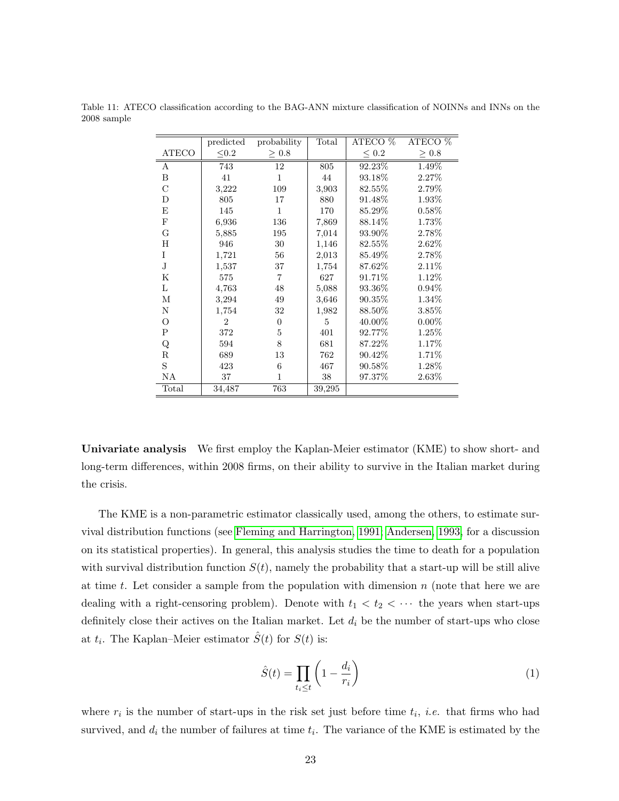|              | predicted      | probability    | Total  | $ATECO$ %  | ATECO <sup>%</sup> |
|--------------|----------------|----------------|--------|------------|--------------------|
| <b>ATECO</b> | $\leq 0.2$     | $\geq$ 0.8     |        | $\leq 0.2$ | $\geq 0.8$         |
| A            | 743            | 12             | 805    | 92.23%     | 1.49%              |
| B            | 41             | $\mathbf{1}$   | 44     | 93.18%     | $2.27\%$           |
| C            | 3,222          | 109            | 3,903  | 82.55%     | 2.79%              |
| D            | 805            | 17             | 880    | 91.48\%    | 1.93%              |
| E            | 145            | $\mathbf{1}$   | 170    | 85.29%     | 0.58%              |
| $\mathbf F$  | 6,936          | 136            | 7,869  | 88.14\%    | 1.73%              |
| G            | 5,885          | 195            | 7,014  | 93.90%     | 2.78%              |
| Η            | 946            | 30             | 1,146  | 82.55%     | $2.62\%$           |
| I            | 1,721          | 56             | 2,013  | 85.49%     | 2.78%              |
| $\mathbf J$  | 1,537          | 37             | 1,754  | 87.62%     | 2.11%              |
| $_{\rm K}$   | 575            | 7              | 627    | 91.71%     | 1.12%              |
| L            | 4,763          | 48             | 5,088  | 93.36\%    | $0.94\%$           |
| М            | 3,294          | 49             | 3,646  | 90.35%     | 1.34%              |
| N            | 1,754          | 32             | 1,982  | 88.50%     | 3.85%              |
| $\circ$      | $\overline{2}$ | $\overline{0}$ | 5      | 40.00%     | $0.00\%$           |
| $\mathsf{P}$ | 372            | 5              | 401    | 92.77%     | 1.25%              |
| Q            | 594            | 8              | 681    | 87.22\%    | 1.17%              |
| $\mathbf R$  | 689            | 13             | 762    | 90.42\%    | 1.71%              |
| S            | 423            | 6              | 467    | 90.58%     | 1.28%              |
| NA           | 37             | 1              | 38     | 97.37%     | 2.63%              |
| Total        | 34,487         | 763            | 39,295 |            |                    |

Table 11: ATECO classification according to the BAG-ANN mixture classification of NOINNs and INNs on the 2008 sample

Univariate analysis We first employ the Kaplan-Meier estimator (KME) to show short- and long-term differences, within 2008 firms, on their ability to survive in the Italian market during the crisis.

The KME is a non-parametric estimator classically used, among the others, to estimate survival distribution functions (see [Fleming and Harrington, 1991;](#page-31-11) [Andersen, 1993,](#page-29-10) for a discussion on its statistical properties). In general, this analysis studies the time to death for a population with survival distribution function  $S(t)$ , namely the probability that a start-up will be still alive at time t. Let consider a sample from the population with dimension  $n$  (note that here we are dealing with a right-censoring problem). Denote with  $t_1 < t_2 < \cdots$  the years when start-ups definitely close their actives on the Italian market. Let  $d_i$  be the number of start-ups who close at  $t_i$ . The Kaplan–Meier estimator  $\hat{S}(t)$  for  $S(t)$  is:

$$
\hat{S}(t) = \prod_{t_i \le t} \left( 1 - \frac{d_i}{r_i} \right) \tag{1}
$$

where  $r_i$  is the number of start-ups in the risk set just before time  $t_i$ , *i.e.* that firms who had survived, and  $d_i$  the number of failures at time  $t_i$ . The variance of the KME is estimated by the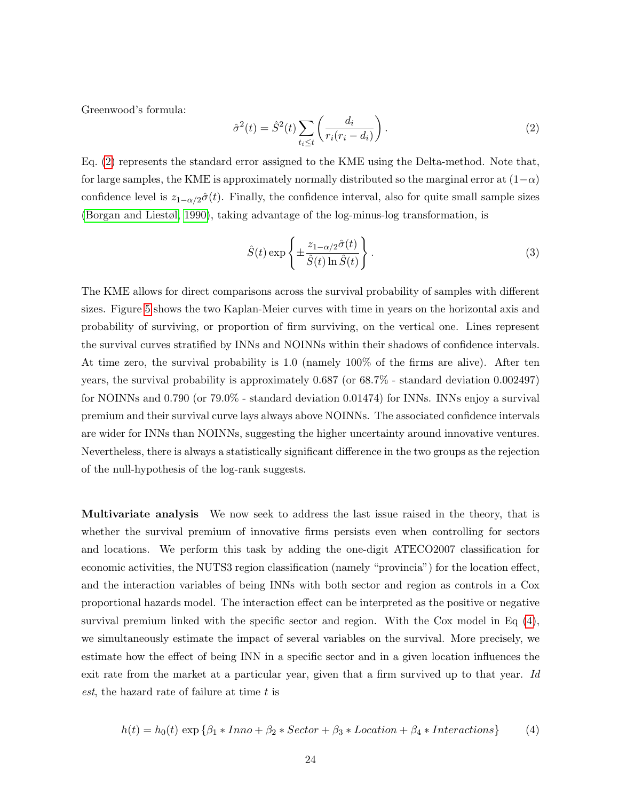Greenwood's formula:

<span id="page-23-0"></span>
$$
\hat{\sigma}^2(t) = \hat{S}^2(t) \sum_{t_i \le t} \left( \frac{d_i}{r_i(r_i - d_i)} \right). \tag{2}
$$

Eq. [\(2\)](#page-23-0) represents the standard error assigned to the KME using the Delta-method. Note that, for large samples, the KME is approximately normally distributed so the marginal error at  $(1-\alpha)$ confidence level is  $z_{1-\alpha/2}\hat{\sigma}(t)$ . Finally, the confidence interval, also for quite small sample sizes [\(Borgan and Liestøl, 1990\)](#page-30-11), taking advantage of the log-minus-log transformation, is

$$
\hat{S}(t) \exp\left\{ \pm \frac{z_{1-\alpha/2}\hat{\sigma}(t)}{\hat{S}(t)\ln \hat{S}(t)} \right\}.
$$
\n(3)

The KME allows for direct comparisons across the survival probability of samples with different sizes. Figure [5](#page-24-0) shows the two Kaplan-Meier curves with time in years on the horizontal axis and probability of surviving, or proportion of firm surviving, on the vertical one. Lines represent the survival curves stratified by INNs and NOINNs within their shadows of confidence intervals. At time zero, the survival probability is 1.0 (namely 100% of the firms are alive). After ten years, the survival probability is approximately 0.687 (or 68.7% - standard deviation 0.002497) for NOINNs and 0.790 (or 79.0% - standard deviation 0.01474) for INNs. INNs enjoy a survival premium and their survival curve lays always above NOINNs. The associated confidence intervals are wider for INNs than NOINNs, suggesting the higher uncertainty around innovative ventures. Nevertheless, there is always a statistically significant difference in the two groups as the rejection of the null-hypothesis of the log-rank suggests.

Multivariate analysis We now seek to address the last issue raised in the theory, that is whether the survival premium of innovative firms persists even when controlling for sectors and locations. We perform this task by adding the one-digit ATECO2007 classification for economic activities, the NUTS3 region classification (namely "provincia") for the location effect, and the interaction variables of being INNs with both sector and region as controls in a Cox proportional hazards model. The interaction effect can be interpreted as the positive or negative survival premium linked with the specific sector and region. With the Cox model in Eq [\(4\)](#page-23-1), we simultaneously estimate the impact of several variables on the survival. More precisely, we estimate how the effect of being INN in a specific sector and in a given location influences the exit rate from the market at a particular year, given that a firm survived up to that year. Id est, the hazard rate of failure at time t is

<span id="page-23-1"></span>
$$
h(t) = h_0(t) \exp \{ \beta_1 * Inno + \beta_2 * Sector + \beta_3 * Location + \beta_4 * Interactions \}
$$
 (4)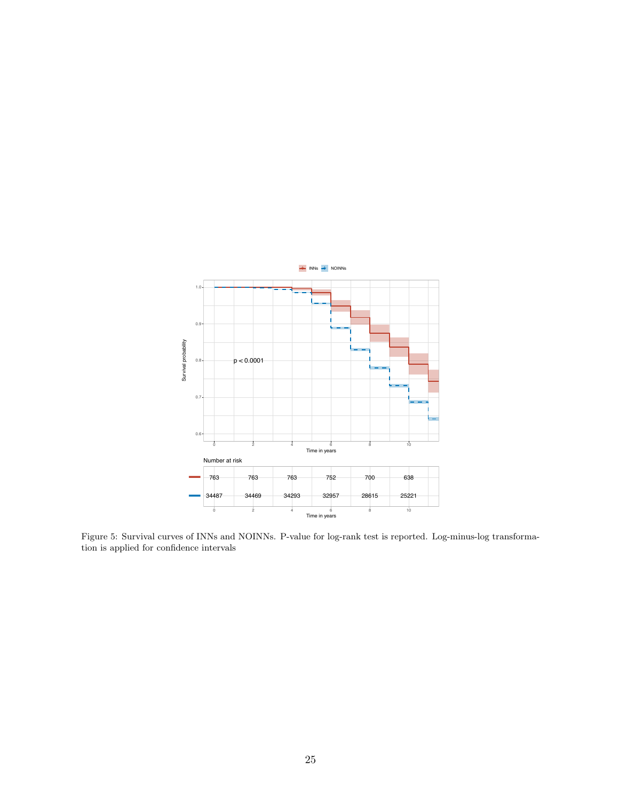<span id="page-24-0"></span>

Figure 5: Survival curves of INNs and NOINNs. P-value for log-rank test is reported. Log-minus-log transformation is applied for confidence intervals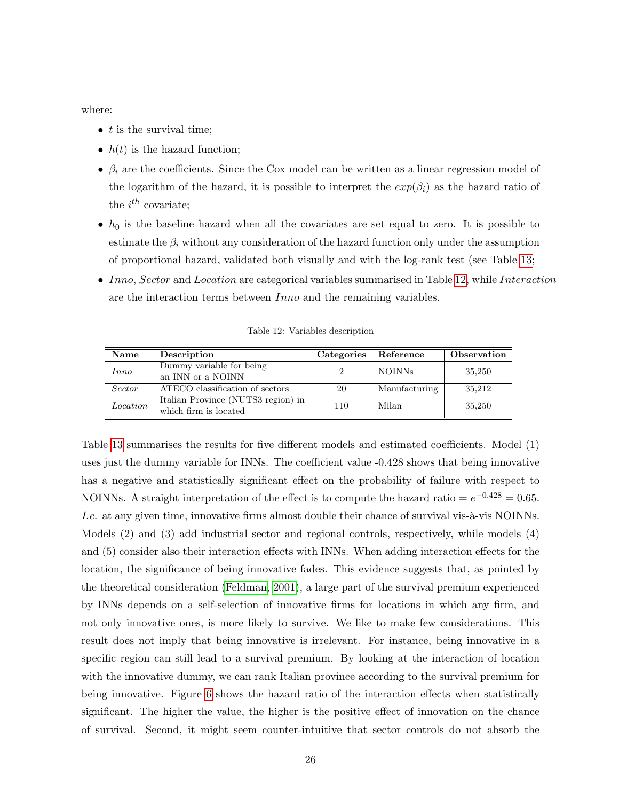where:

- $\bullet$  t is the survival time;
- $h(t)$  is the hazard function;
- $\beta_i$  are the coefficients. Since the Cox model can be written as a linear regression model of the logarithm of the hazard, it is possible to interpret the  $exp(\beta_i)$  as the hazard ratio of the  $i^{th}$  covariate;
- $h_0$  is the baseline hazard when all the covariates are set equal to zero. It is possible to estimate the  $\beta_i$  without any consideration of the hazard function only under the assumption of proportional hazard, validated both visually and with the log-rank test (see Table [13;](#page-26-1)
- Inno, Sector and Location are categorical variables summarised in Table [12,](#page-25-0) while Interaction are the interaction terms between Inno and the remaining variables.

<span id="page-25-0"></span>

| Name          | Description                                                 | Categories | Reference     | Observation |
|---------------|-------------------------------------------------------------|------------|---------------|-------------|
| Inno          | Dummy variable for being<br>an INN or a NOINN               |            | <b>NOINNs</b> | 35,250      |
| <i>Sector</i> | ATECO classification of sectors                             | 20         | Manufacturing | 35,212      |
| Location      | Italian Province (NUTS3 region) in<br>which firm is located | 110        | Milan         | 35,250      |

Table 12: Variables description

Table [13](#page-26-1) summarises the results for five different models and estimated coefficients. Model (1) uses just the dummy variable for INNs. The coefficient value -0.428 shows that being innovative has a negative and statistically significant effect on the probability of failure with respect to NOINNs. A straight interpretation of the effect is to compute the hazard ratio =  $e^{-0.428} = 0.65$ . *I.e.* at any given time, innovative firms almost double their chance of survival vis-à-vis NOINNs. Models (2) and (3) add industrial sector and regional controls, respectively, while models (4) and (5) consider also their interaction effects with INNs. When adding interaction effects for the location, the significance of being innovative fades. This evidence suggests that, as pointed by the theoretical consideration [\(Feldman, 2001\)](#page-31-7), a large part of the survival premium experienced by INNs depends on a self-selection of innovative firms for locations in which any firm, and not only innovative ones, is more likely to survive. We like to make few considerations. This result does not imply that being innovative is irrelevant. For instance, being innovative in a specific region can still lead to a survival premium. By looking at the interaction of location with the innovative dummy, we can rank Italian province according to the survival premium for being innovative. Figure [6](#page-27-0) shows the hazard ratio of the interaction effects when statistically significant. The higher the value, the higher is the positive effect of innovation on the chance of survival. Second, it might seem counter-intuitive that sector controls do not absorb the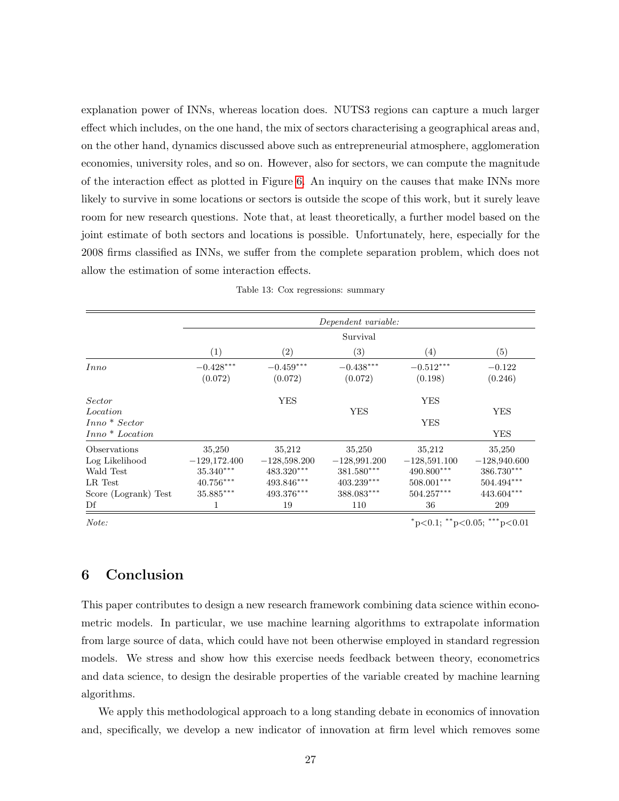explanation power of INNs, whereas location does. NUTS3 regions can capture a much larger effect which includes, on the one hand, the mix of sectors characterising a geographical areas and, on the other hand, dynamics discussed above such as entrepreneurial atmosphere, agglomeration economies, university roles, and so on. However, also for sectors, we can compute the magnitude of the interaction effect as plotted in Figure [6.](#page-27-0) An inquiry on the causes that make INNs more likely to survive in some locations or sectors is outside the scope of this work, but it surely leave room for new research questions. Note that, at least theoretically, a further model based on the joint estimate of both sectors and locations is possible. Unfortunately, here, especially for the 2008 firms classified as INNs, we suffer from the complete separation problem, which does not allow the estimation of some interaction effects.

<span id="page-26-1"></span>

|                                             |                                         |                                          | Dependent variable:                      |                                          |                                        |
|---------------------------------------------|-----------------------------------------|------------------------------------------|------------------------------------------|------------------------------------------|----------------------------------------|
|                                             |                                         |                                          | Survival                                 |                                          |                                        |
|                                             | (1)                                     | $\left( 2\right)$                        | (3)                                      | $\left( 4\right)$                        | (5)                                    |
| Inno                                        | $-0.428***$<br>(0.072)                  | $-0.459***$<br>(0.072)                   | $-0.438***$<br>(0.072)                   | $-0.512***$<br>(0.198)                   | $-0.122$<br>(0.246)                    |
| Sector<br>Location<br>$Inno* Sector$        |                                         | <b>YES</b>                               | <b>YES</b>                               | <b>YES</b><br><b>YES</b>                 | <b>YES</b>                             |
| $Inno * Location$                           |                                         |                                          |                                          |                                          | <b>YES</b>                             |
| Observations<br>Log Likelihood<br>Wald Test | 35,250<br>$-129,172.400$<br>$35.340***$ | 35,212<br>$-128,598.200$<br>483.320***   | 35,250<br>$-128,991.200$<br>$381.580***$ | 35,212<br>$-128,591.100$<br>$490.800***$ | 35,250<br>$-128,940.600$<br>386.730*** |
| LR Test<br>Score (Logrank) Test             | $40.756***$<br>$35.885***$              | $493.846^{\ast\ast\ast}$<br>$493.376***$ | $403.239***$<br>$388.083***$             | $508.001***$<br>$504.257***$             | $504.494***$<br>443.604***             |
| Df                                          | 1                                       | 19                                       | 110                                      | 36                                       | 209                                    |

|  | Table 13: Cox regressions: summary |  |
|--|------------------------------------|--|
|  |                                    |  |

 $Note:$   $*_{p<0.1; *_{p<0.05; * * *_{p<0.01}}$ 

# <span id="page-26-0"></span>6 Conclusion

This paper contributes to design a new research framework combining data science within econometric models. In particular, we use machine learning algorithms to extrapolate information from large source of data, which could have not been otherwise employed in standard regression models. We stress and show how this exercise needs feedback between theory, econometrics and data science, to design the desirable properties of the variable created by machine learning algorithms.

We apply this methodological approach to a long standing debate in economics of innovation and, specifically, we develop a new indicator of innovation at firm level which removes some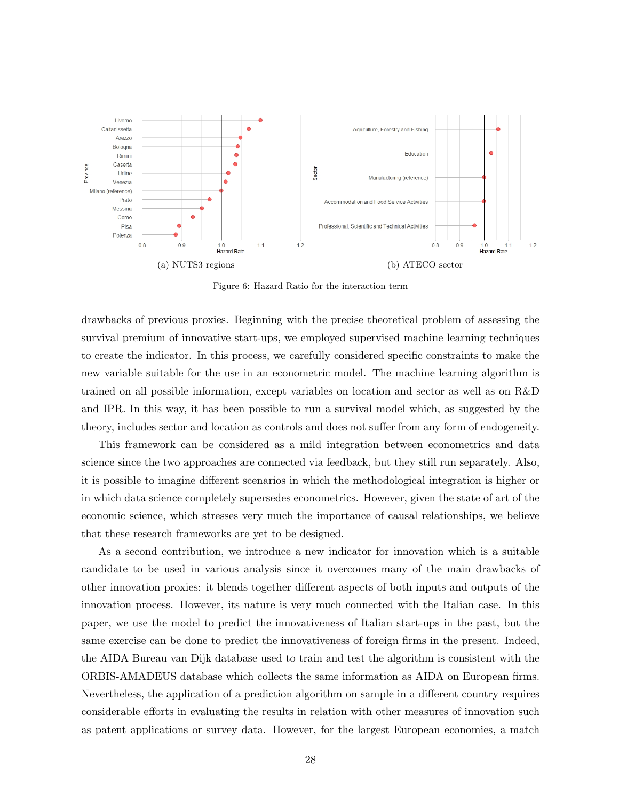<span id="page-27-0"></span>

Figure 6: Hazard Ratio for the interaction term

drawbacks of previous proxies. Beginning with the precise theoretical problem of assessing the survival premium of innovative start-ups, we employed supervised machine learning techniques to create the indicator. In this process, we carefully considered specific constraints to make the new variable suitable for the use in an econometric model. The machine learning algorithm is trained on all possible information, except variables on location and sector as well as on R&D and IPR. In this way, it has been possible to run a survival model which, as suggested by the theory, includes sector and location as controls and does not suffer from any form of endogeneity.

This framework can be considered as a mild integration between econometrics and data science since the two approaches are connected via feedback, but they still run separately. Also, it is possible to imagine different scenarios in which the methodological integration is higher or in which data science completely supersedes econometrics. However, given the state of art of the economic science, which stresses very much the importance of causal relationships, we believe that these research frameworks are yet to be designed.

As a second contribution, we introduce a new indicator for innovation which is a suitable candidate to be used in various analysis since it overcomes many of the main drawbacks of other innovation proxies: it blends together different aspects of both inputs and outputs of the innovation process. However, its nature is very much connected with the Italian case. In this paper, we use the model to predict the innovativeness of Italian start-ups in the past, but the same exercise can be done to predict the innovativeness of foreign firms in the present. Indeed, the AIDA Bureau van Dijk database used to train and test the algorithm is consistent with the ORBIS-AMADEUS database which collects the same information as AIDA on European firms. Nevertheless, the application of a prediction algorithm on sample in a different country requires considerable efforts in evaluating the results in relation with other measures of innovation such as patent applications or survey data. However, for the largest European economies, a match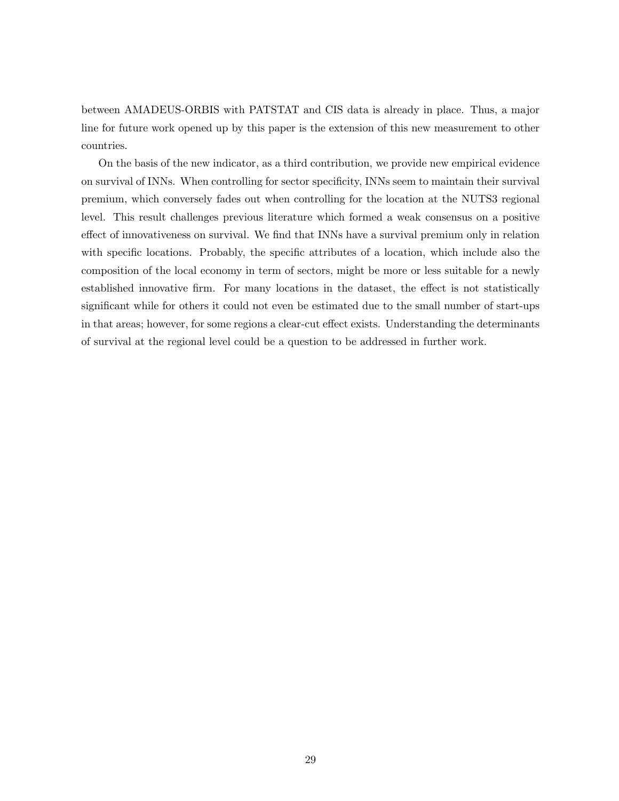between AMADEUS-ORBIS with PATSTAT and CIS data is already in place. Thus, a major line for future work opened up by this paper is the extension of this new measurement to other countries.

On the basis of the new indicator, as a third contribution, we provide new empirical evidence on survival of INNs. When controlling for sector specificity, INNs seem to maintain their survival premium, which conversely fades out when controlling for the location at the NUTS3 regional level. This result challenges previous literature which formed a weak consensus on a positive effect of innovativeness on survival. We find that INNs have a survival premium only in relation with specific locations. Probably, the specific attributes of a location, which include also the composition of the local economy in term of sectors, might be more or less suitable for a newly established innovative firm. For many locations in the dataset, the effect is not statistically significant while for others it could not even be estimated due to the small number of start-ups in that areas; however, for some regions a clear-cut effect exists. Understanding the determinants of survival at the regional level could be a question to be addressed in further work.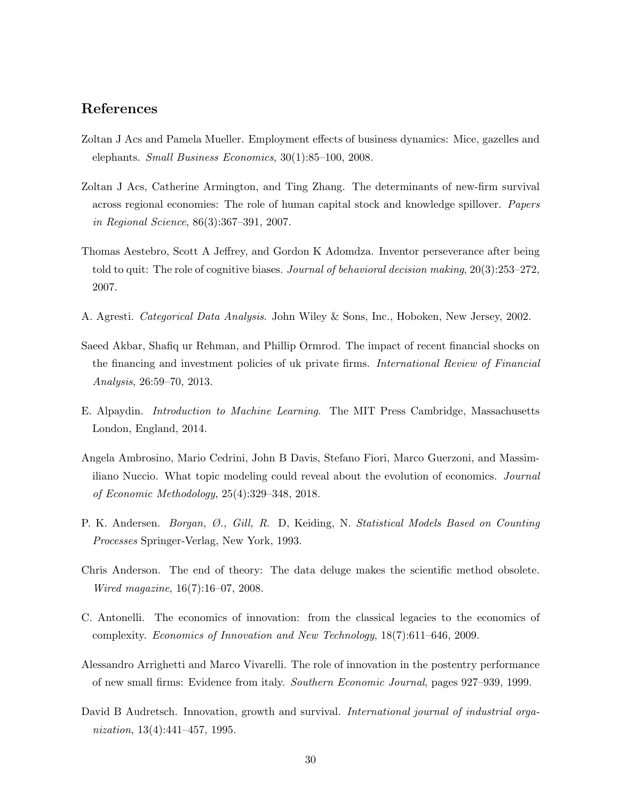# References

- <span id="page-29-3"></span>Zoltan J Acs and Pamela Mueller. Employment effects of business dynamics: Mice, gazelles and elephants. Small Business Economics,  $30(1):85-100$ ,  $2008$ .
- <span id="page-29-8"></span>Zoltan J Acs, Catherine Armington, and Ting Zhang. The determinants of new-firm survival across regional economies: The role of human capital stock and knowledge spillover. Papers in Regional Science, 86(3):367–391, 2007.
- <span id="page-29-4"></span>Thomas Aestebro, Scott A Jeffrey, and Gordon K Adomdza. Inventor perseverance after being told to quit: The role of cognitive biases. *Journal of behavioral decision making*, 20(3):253–272, 2007.
- <span id="page-29-11"></span>A. Agresti. Categorical Data Analysis. John Wiley & Sons, Inc., Hoboken, New Jersey, 2002.
- <span id="page-29-7"></span>Saeed Akbar, Shafiq ur Rehman, and Phillip Ormrod. The impact of recent financial shocks on the financing and investment policies of uk private firms. *International Review of Financial* Analysis, 26:59–70, 2013.
- <span id="page-29-9"></span>E. Alpaydin. Introduction to Machine Learning. The MIT Press Cambridge, Massachusetts London, England, 2014.
- <span id="page-29-1"></span>Angela Ambrosino, Mario Cedrini, John B Davis, Stefano Fiori, Marco Guerzoni, and Massimiliano Nuccio. What topic modeling could reveal about the evolution of economics. *Journal* of Economic Methodology, 25(4):329–348, 2018.
- <span id="page-29-10"></span>P. K. Andersen. Borgan, Ø., Gill, R. D., Keiding, N. Statistical Models Based on Counting Processes Springer-Verlag, New York, 1993.
- <span id="page-29-2"></span>Chris Anderson. The end of theory: The data deluge makes the scientific method obsolete. Wired magazine, 16(7):16–07, 2008.
- <span id="page-29-0"></span>C. Antonelli. The economics of innovation: from the classical legacies to the economics of complexity. Economics of Innovation and New Technology, 18(7):611–646, 2009.
- <span id="page-29-5"></span>Alessandro Arrighetti and Marco Vivarelli. The role of innovation in the postentry performance of new small firms: Evidence from italy. Southern Economic Journal, pages 927–939, 1999.
- <span id="page-29-6"></span>David B Audretsch. Innovation, growth and survival. International journal of industrial organization, 13(4):441–457, 1995.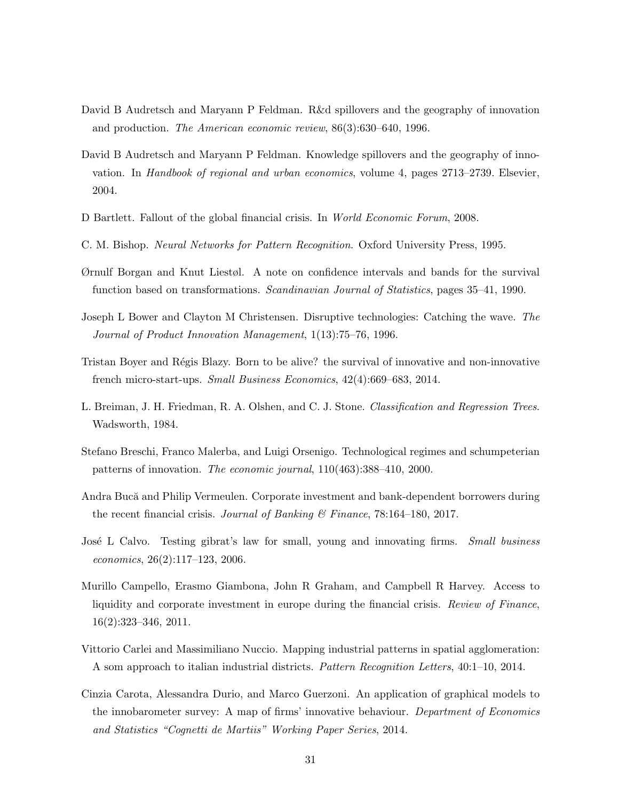- <span id="page-30-9"></span>David B Audretsch and Maryann P Feldman. R&d spillovers and the geography of innovation and production. The American economic review, 86(3):630–640, 1996.
- <span id="page-30-10"></span>David B Audretsch and Maryann P Feldman. Knowledge spillovers and the geography of innovation. In Handbook of regional and urban economics, volume 4, pages 2713–2739. Elsevier, 2004.
- <span id="page-30-8"></span>D Bartlett. Fallout of the global financial crisis. In World Economic Forum, 2008.
- <span id="page-30-13"></span>C. M. Bishop. Neural Networks for Pattern Recognition. Oxford University Press, 1995.
- <span id="page-30-11"></span>Ørnulf Borgan and Knut Liestøl. A note on confidence intervals and bands for the survival function based on transformations. Scandinavian Journal of Statistics, pages 35–41, 1990.
- <span id="page-30-3"></span>Joseph L Bower and Clayton M Christensen. Disruptive technologies: Catching the wave. The Journal of Product Innovation Management, 1(13):75–76, 1996.
- <span id="page-30-5"></span>Tristan Boyer and Régis Blazy. Born to be alive? the survival of innovative and non-innovative french micro-start-ups. Small Business Economics, 42(4):669–683, 2014.
- <span id="page-30-12"></span>L. Breiman, J. H. Friedman, R. A. Olshen, and C. J. Stone. Classification and Regression Trees. Wadsworth, 1984.
- <span id="page-30-2"></span>Stefano Breschi, Franco Malerba, and Luigi Orsenigo. Technological regimes and schumpeterian patterns of innovation. The economic journal, 110(463):388–410, 2000.
- <span id="page-30-7"></span>Andra Buc˘a and Philip Vermeulen. Corporate investment and bank-dependent borrowers during the recent financial crisis. Journal of Banking & Finance, 78:164–180, 2017.
- <span id="page-30-4"></span>José L Calvo. Testing gibrat's law for small, young and innovating firms. Small business economics, 26(2):117–123, 2006.
- <span id="page-30-6"></span>Murillo Campello, Erasmo Giambona, John R Graham, and Campbell R Harvey. Access to liquidity and corporate investment in europe during the financial crisis. Review of Finance, 16(2):323–346, 2011.
- <span id="page-30-0"></span>Vittorio Carlei and Massimiliano Nuccio. Mapping industrial patterns in spatial agglomeration: A som approach to italian industrial districts. Pattern Recognition Letters, 40:1–10, 2014.
- <span id="page-30-1"></span>Cinzia Carota, Alessandra Durio, and Marco Guerzoni. An application of graphical models to the innobarometer survey: A map of firms' innovative behaviour. Department of Economics and Statistics "Cognetti de Martiis" Working Paper Series, 2014.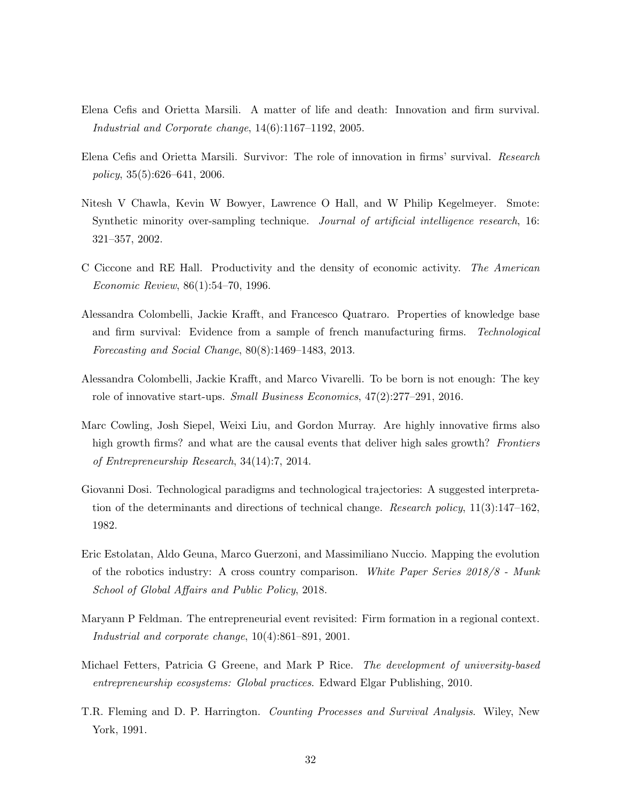- <span id="page-31-2"></span>Elena Cefis and Orietta Marsili. A matter of life and death: Innovation and firm survival. Industrial and Corporate change, 14(6):1167–1192, 2005.
- <span id="page-31-3"></span>Elena Cefis and Orietta Marsili. Survivor: The role of innovation in firms' survival. Research policy,  $35(5):626-641$ ,  $2006$ .
- <span id="page-31-10"></span>Nitesh V Chawla, Kevin W Bowyer, Lawrence O Hall, and W Philip Kegelmeyer. Smote: Synthetic minority over-sampling technique. *Journal of artificial intelligence research*, 16: 321–357, 2002.
- <span id="page-31-8"></span>C Ciccone and RE Hall. Productivity and the density of economic activity. The American Economic Review, 86(1):54–70, 1996.
- <span id="page-31-5"></span>Alessandra Colombelli, Jackie Krafft, and Francesco Quatraro. Properties of knowledge base and firm survival: Evidence from a sample of french manufacturing firms. Technological Forecasting and Social Change, 80(8):1469–1483, 2013.
- <span id="page-31-4"></span>Alessandra Colombelli, Jackie Krafft, and Marco Vivarelli. To be born is not enough: The key role of innovative start-ups. *Small Business Economics*,  $47(2):277-291$ , 2016.
- <span id="page-31-6"></span>Marc Cowling, Josh Siepel, Weixi Liu, and Gordon Murray. Are highly innovative firms also high growth firms? and what are the causal events that deliver high sales growth? Frontiers of Entrepreneurship Research, 34(14):7, 2014.
- <span id="page-31-1"></span>Giovanni Dosi. Technological paradigms and technological trajectories: A suggested interpretation of the determinants and directions of technical change. Research policy, 11(3):147–162, 1982.
- <span id="page-31-0"></span>Eric Estolatan, Aldo Geuna, Marco Guerzoni, and Massimiliano Nuccio. Mapping the evolution of the robotics industry: A cross country comparison. White Paper Series 2018/8 - Munk School of Global Affairs and Public Policy, 2018.
- <span id="page-31-7"></span>Maryann P Feldman. The entrepreneurial event revisited: Firm formation in a regional context. Industrial and corporate change, 10(4):861–891, 2001.
- <span id="page-31-9"></span>Michael Fetters, Patricia G Greene, and Mark P Rice. The development of university-based entrepreneurship ecosystems: Global practices. Edward Elgar Publishing, 2010.
- <span id="page-31-11"></span>T.R. Fleming and D. P. Harrington. Counting Processes and Survival Analysis. Wiley, New York, 1991.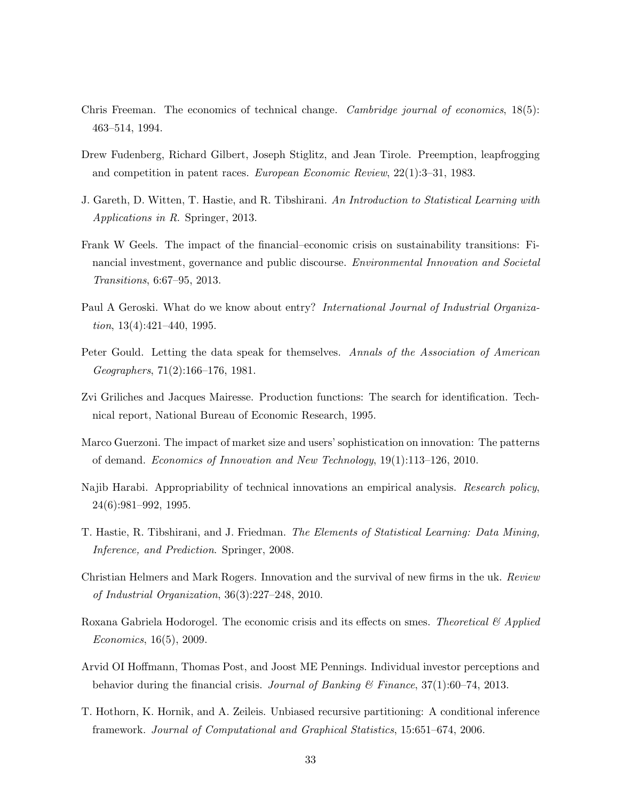- <span id="page-32-0"></span>Chris Freeman. The economics of technical change. Cambridge journal of economics, 18(5): 463–514, 1994.
- <span id="page-32-4"></span>Drew Fudenberg, Richard Gilbert, Joseph Stiglitz, and Jean Tirole. Preemption, leapfrogging and competition in patent races. European Economic Review, 22(1):3–31, 1983.
- <span id="page-32-12"></span>J. Gareth, D. Witten, T. Hastie, and R. Tibshirani. An Introduction to Statistical Learning with Applications in R. Springer, 2013.
- <span id="page-32-8"></span>Frank W Geels. The impact of the financial–economic crisis on sustainability transitions: Financial investment, governance and public discourse. *Environmental Innovation and Societal* Transitions, 6:67–95, 2013.
- <span id="page-32-10"></span>Paul A Geroski. What do we know about entry? *International Journal of Industrial Organiza*tion,  $13(4):421-440$ ,  $1995$ .
- <span id="page-32-1"></span>Peter Gould. Letting the data speak for themselves. Annals of the Association of American Geographers, 71(2):166–176, 1981.
- <span id="page-32-2"></span>Zvi Griliches and Jacques Mairesse. Production functions: The search for identification. Technical report, National Bureau of Economic Research, 1995.
- <span id="page-32-3"></span>Marco Guerzoni. The impact of market size and users' sophistication on innovation: The patterns of demand. Economics of Innovation and New Technology, 19(1):113–126, 2010.
- <span id="page-32-6"></span>Najib Harabi. Appropriability of technical innovations an empirical analysis. Research policy, 24(6):981–992, 1995.
- <span id="page-32-11"></span>T. Hastie, R. Tibshirani, and J. Friedman. The Elements of Statistical Learning: Data Mining, Inference, and Prediction. Springer, 2008.
- <span id="page-32-5"></span>Christian Helmers and Mark Rogers. Innovation and the survival of new firms in the uk. Review of Industrial Organization, 36(3):227–248, 2010.
- <span id="page-32-9"></span>Roxana Gabriela Hodorogel. The economic crisis and its effects on smes. Theoretical  $\mathcal{C}$  Applied Economics, 16(5), 2009.
- <span id="page-32-7"></span>Arvid OI Hoffmann, Thomas Post, and Joost ME Pennings. Individual investor perceptions and behavior during the financial crisis. Journal of Banking & Finance,  $37(1)$ :60–74, 2013.
- <span id="page-32-13"></span>T. Hothorn, K. Hornik, and A. Zeileis. Unbiased recursive partitioning: A conditional inference framework. Journal of Computational and Graphical Statistics, 15:651–674, 2006.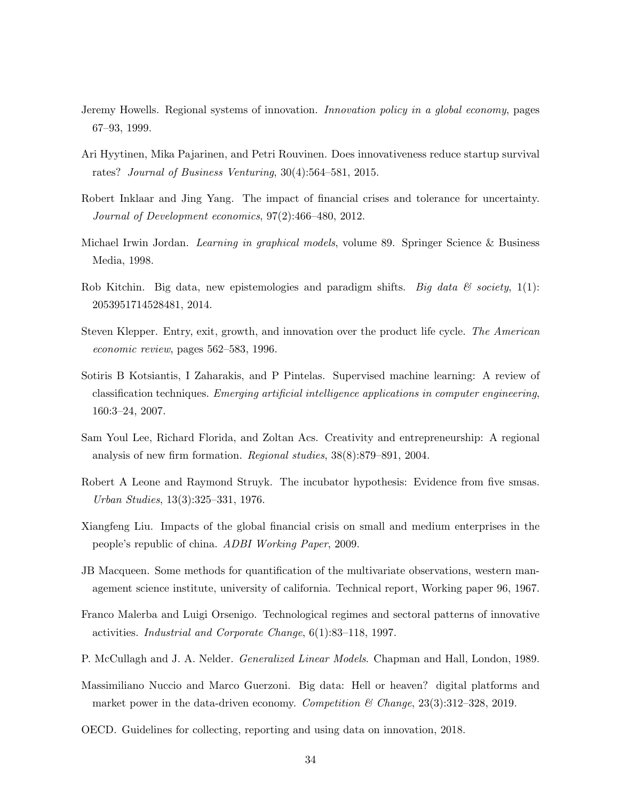- <span id="page-33-12"></span>Jeremy Howells. Regional systems of innovation. Innovation policy in a global economy, pages 67–93, 1999.
- <span id="page-33-7"></span>Ari Hyytinen, Mika Pajarinen, and Petri Rouvinen. Does innovativeness reduce startup survival rates? Journal of Business Venturing, 30(4):564–581, 2015.
- <span id="page-33-9"></span>Robert Inklaar and Jing Yang. The impact of financial crises and tolerance for uncertainty. Journal of Development economics, 97(2):466–480, 2012.
- <span id="page-33-5"></span>Michael Irwin Jordan. *Learning in graphical models*, volume 89. Springer Science & Business Media, 1998.
- <span id="page-33-3"></span>Rob Kitchin. Big data, new epistemologies and paradigm shifts. Big data  $\mathcal B$  society, 1(1): 2053951714528481, 2014.
- <span id="page-33-10"></span>Steven Klepper. Entry, exit, growth, and innovation over the product life cycle. The American economic review, pages 562–583, 1996.
- <span id="page-33-1"></span>Sotiris B Kotsiantis, I Zaharakis, and P Pintelas. Supervised machine learning: A review of classification techniques. Emerging artificial intelligence applications in computer engineering, 160:3–24, 2007.
- <span id="page-33-13"></span>Sam Youl Lee, Richard Florida, and Zoltan Acs. Creativity and entrepreneurship: A regional analysis of new firm formation. Regional studies, 38(8):879–891, 2004.
- <span id="page-33-11"></span>Robert A Leone and Raymond Struyk. The incubator hypothesis: Evidence from five smsas. Urban Studies, 13(3):325–331, 1976.
- <span id="page-33-8"></span>Xiangfeng Liu. Impacts of the global financial crisis on small and medium enterprises in the people's republic of china. ADBI Working Paper, 2009.
- <span id="page-33-2"></span>JB Macqueen. Some methods for quantification of the multivariate observations, western management science institute, university of california. Technical report, Working paper 96, 1967.
- <span id="page-33-6"></span>Franco Malerba and Luigi Orsenigo. Technological regimes and sectoral patterns of innovative activities. Industrial and Corporate Change, 6(1):83–118, 1997.
- <span id="page-33-14"></span>P. McCullagh and J. A. Nelder. Generalized Linear Models. Chapman and Hall, London, 1989.
- <span id="page-33-4"></span>Massimiliano Nuccio and Marco Guerzoni. Big data: Hell or heaven? digital platforms and market power in the data-driven economy. Competition & Change,  $23(3):312-328$ ,  $2019$ .
- <span id="page-33-0"></span>OECD. Guidelines for collecting, reporting and using data on innovation, 2018.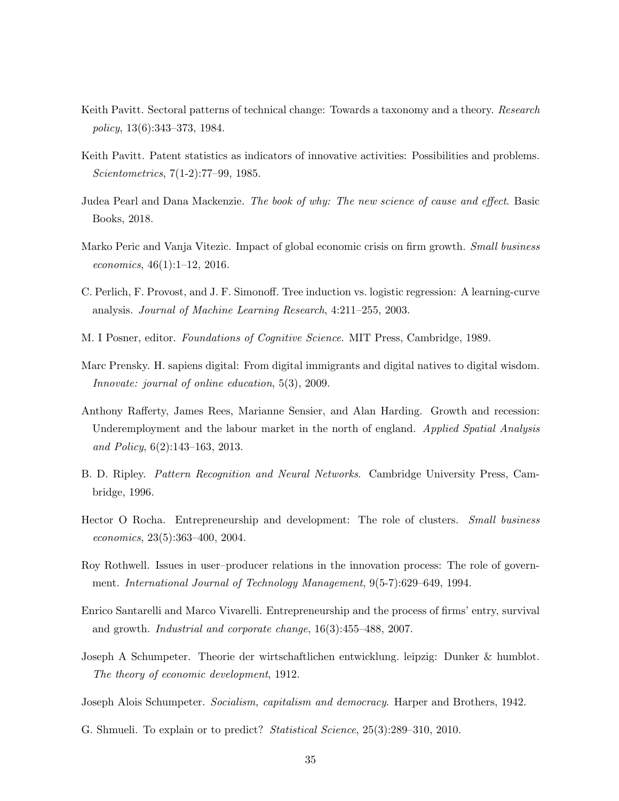- <span id="page-34-8"></span>Keith Pavitt. Sectoral patterns of technical change: Towards a taxonomy and a theory. Research policy, 13(6):343–373, 1984.
- <span id="page-34-9"></span>Keith Pavitt. Patent statistics as indicators of innovative activities: Possibilities and problems. Scientometrics, 7(1-2):77–99, 1985.
- <span id="page-34-2"></span>Judea Pearl and Dana Mackenzie. The book of why: The new science of cause and effect. Basic Books, 2018.
- <span id="page-34-6"></span>Marko Peric and Vanja Vitezic. Impact of global economic crisis on firm growth. Small business economics, 46(1):1–12, 2016.
- <span id="page-34-13"></span>C. Perlich, F. Provost, and J. F. Simonoff. Tree induction vs. logistic regression: A learning-curve analysis. Journal of Machine Learning Research, 4:211–255, 2003.
- <span id="page-34-14"></span>M. I Posner, editor. Foundations of Cognitive Science. MIT Press, Cambridge, 1989.
- <span id="page-34-1"></span>Marc Prensky. H. sapiens digital: From digital immigrants and digital natives to digital wisdom. Innovate: journal of online education, 5(3), 2009.
- <span id="page-34-7"></span>Anthony Rafferty, James Rees, Marianne Sensier, and Alan Harding. Growth and recession: Underemployment and the labour market in the north of england. Applied Spatial Analysis and Policy, 6(2):143–163, 2013.
- <span id="page-34-12"></span>B. D. Ripley. Pattern Recognition and Neural Networks. Cambridge University Press, Cambridge, 1996.
- <span id="page-34-11"></span>Hector O Rocha. Entrepreneurship and development: The role of clusters. Small business economics, 23(5):363–400, 2004.
- <span id="page-34-10"></span>Roy Rothwell. Issues in user–producer relations in the innovation process: The role of government. International Journal of Technology Management, 9(5-7):629–649, 1994.
- <span id="page-34-5"></span>Enrico Santarelli and Marco Vivarelli. Entrepreneurship and the process of firms' entry, survival and growth. Industrial and corporate change, 16(3):455–488, 2007.
- <span id="page-34-3"></span>Joseph A Schumpeter. Theorie der wirtschaftlichen entwicklung. leipzig: Dunker & humblot. The theory of economic development, 1912.
- <span id="page-34-4"></span>Joseph Alois Schumpeter. Socialism, capitalism and democracy. Harper and Brothers, 1942.
- <span id="page-34-0"></span>G. Shmueli. To explain or to predict? Statistical Science, 25(3):289–310, 2010.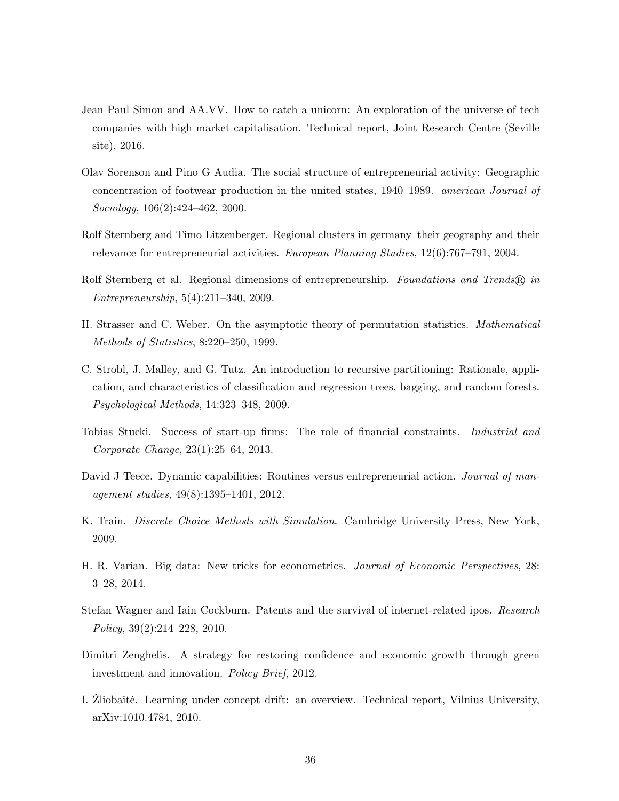- <span id="page-35-1"></span>Jean Paul Simon and AA.VV. How to catch a unicorn: An exploration of the universe of tech companies with high market capitalisation. Technical report, Joint Research Centre (Seville site), 2016.
- <span id="page-35-8"></span>Olav Sorenson and Pino G Audia. The social structure of entrepreneurial activity: Geographic concentration of footwear production in the united states, 1940–1989. american Journal of Sociology, 106(2):424–462, 2000.
- <span id="page-35-6"></span>Rolf Sternberg and Timo Litzenberger. Regional clusters in germany–their geography and their relevance for entrepreneurial activities. European Planning Studies, 12(6):767–791, 2004.
- <span id="page-35-7"></span>Rolf Sternberg et al. Regional dimensions of entrepreneurship. Foundations and Trends (R) in Entrepreneurship, 5(4):211–340, 2009.
- <span id="page-35-10"></span>H. Strasser and C. Weber. On the asymptotic theory of permutation statistics. Mathematical Methods of Statistics, 8:220–250, 1999.
- <span id="page-35-11"></span>C. Strobl, J. Malley, and G. Tutz. An introduction to recursive partitioning: Rationale, application, and characteristics of classification and regression trees, bagging, and random forests. Psychological Methods, 14:323–348, 2009.
- <span id="page-35-3"></span>Tobias Stucki. Success of start-up firms: The role of financial constraints. Industrial and Corporate Change, 23(1):25–64, 2013.
- <span id="page-35-2"></span>David J Teece. Dynamic capabilities: Routines versus entrepreneurial action. Journal of management studies, 49(8):1395–1401, 2012.
- <span id="page-35-12"></span>K. Train. Discrete Choice Methods with Simulation. Cambridge University Press, New York, 2009.
- <span id="page-35-0"></span>H. R. Varian. Big data: New tricks for econometrics. Journal of Economic Perspectives, 28: 3–28, 2014.
- <span id="page-35-4"></span>Stefan Wagner and Iain Cockburn. Patents and the survival of internet-related ipos. Research Policy, 39(2):214–228, 2010.
- <span id="page-35-5"></span>Dimitri Zenghelis. A strategy for restoring confidence and economic growth through green investment and innovation. Policy Brief, 2012.
- <span id="page-35-9"></span>I. Zliobaitė. Learning under concept drift: an overview. Technical report, Vilnius University, arXiv:1010.4784, 2010.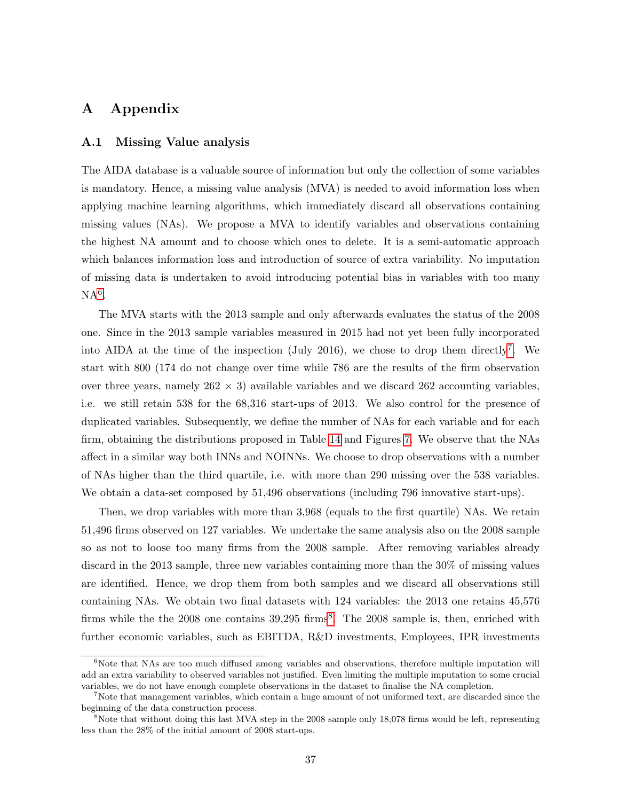# A Appendix

#### <span id="page-36-0"></span>A.1 Missing Value analysis

The AIDA database is a valuable source of information but only the collection of some variables is mandatory. Hence, a missing value analysis (MVA) is needed to avoid information loss when applying machine learning algorithms, which immediately discard all observations containing missing values (NAs). We propose a MVA to identify variables and observations containing the highest NA amount and to choose which ones to delete. It is a semi-automatic approach which balances information loss and introduction of source of extra variability. No imputation of missing data is undertaken to avoid introducing potential bias in variables with too many  $NA<sup>6</sup>$  $NA<sup>6</sup>$  $NA<sup>6</sup>$ .

The MVA starts with the 2013 sample and only afterwards evaluates the status of the 2008 one. Since in the 2013 sample variables measured in 2015 had not yet been fully incorporated into AIDA at the time of the inspection (July 2016), we chose to drop them directly<sup>[7](#page-36-2)</sup>. We start with 800 (174 do not change over time while 786 are the results of the firm observation over three years, namely  $262 \times 3$ ) available variables and we discard  $262$  accounting variables, i.e. we still retain 538 for the 68,316 start-ups of 2013. We also control for the presence of duplicated variables. Subsequently, we define the number of NAs for each variable and for each firm, obtaining the distributions proposed in Table [14](#page-37-1) and Figures [7.](#page-37-2) We observe that the NAs affect in a similar way both INNs and NOINNs. We choose to drop observations with a number of NAs higher than the third quartile, i.e. with more than 290 missing over the 538 variables. We obtain a data-set composed by 51,496 observations (including 796 innovative start-ups).

Then, we drop variables with more than 3,968 (equals to the first quartile) NAs. We retain 51,496 firms observed on 127 variables. We undertake the same analysis also on the 2008 sample so as not to loose too many firms from the 2008 sample. After removing variables already discard in the 2013 sample, three new variables containing more than the 30% of missing values are identified. Hence, we drop them from both samples and we discard all observations still containing NAs. We obtain two final datasets with 124 variables: the 2013 one retains 45,576 firms while the the 200[8](#page-36-3) one contains  $39,295$  firms<sup>8</sup>. The 2008 sample is, then, enriched with further economic variables, such as EBITDA, R&D investments, Employees, IPR investments

<span id="page-36-1"></span> $6N$ ote that NAs are too much diffused among variables and observations, therefore multiple imputation will add an extra variability to observed variables not justified. Even limiting the multiple imputation to some crucial variables, we do not have enough complete observations in the dataset to finalise the NA completion.

<span id="page-36-2"></span><sup>7</sup>Note that management variables, which contain a huge amount of not uniformed text, are discarded since the beginning of the data construction process.

<span id="page-36-3"></span><sup>&</sup>lt;sup>8</sup>Note that without doing this last MVA step in the 2008 sample only 18,078 firms would be left, representing less than the 28% of the initial amount of 2008 start-ups.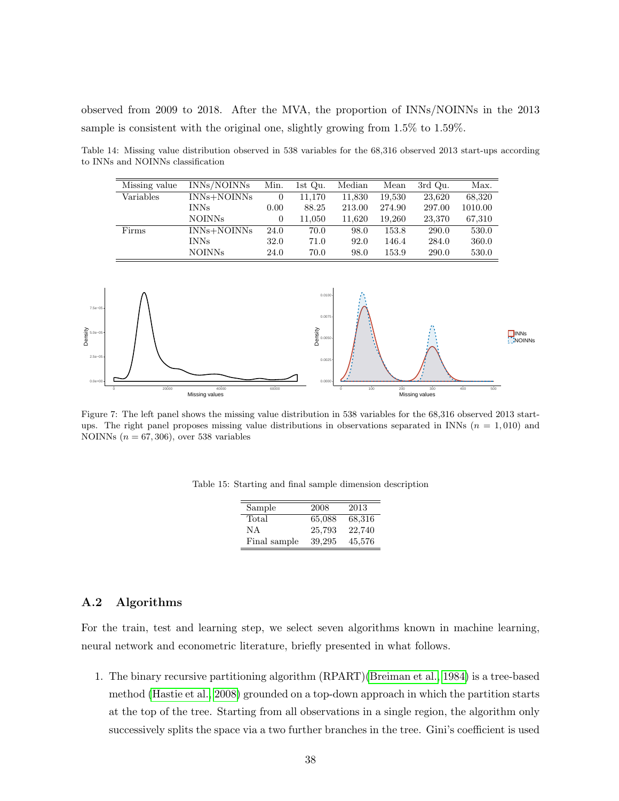observed from 2009 to 2018. After the MVA, the proportion of INNs/NOINNs in the 2013 sample is consistent with the original one, slightly growing from 1.5% to 1.59%.

<span id="page-37-1"></span>Table 14: Missing value distribution observed in 538 variables for the 68,316 observed 2013 start-ups according to INNs and NOINNs classification

| Missing value | INNs/NOINNs | Min. | 1st Qu. | Median | Mean   | 3rd Qu. | Max.    |
|---------------|-------------|------|---------|--------|--------|---------|---------|
|               |             |      |         |        |        |         |         |
| Variables     | INNs+NOINNs | 0    | 11,170  | 11,830 | 19,530 | 23,620  | 68,320  |
|               | <b>INNs</b> | 0.00 | 88.25   | 213.00 | 274.90 | 297.00  | 1010.00 |
|               | NOINNs      | 0    | 11,050  | 11.620 | 19.260 | 23,370  | 67,310  |
| Firms         | INNs+NOINNs | 24.0 | 70.0    | 98.0   | 153.8  | 290.0   | 530.0   |
|               | <b>INNs</b> | 32.0 | 71.0    | 92.0   | 146.4  | 284.0   | 360.0   |
|               | NOINNs      | 24.0 | 70.0    | 98.0   | 153.9  | 290.0   | 530.0   |

<span id="page-37-2"></span>

Figure 7: The left panel shows the missing value distribution in 538 variables for the 68,316 observed 2013 startups. The right panel proposes missing value distributions in observations separated in INNs  $(n = 1,010)$  and NOINNs  $(n = 67, 306)$ , over 538 variables

| Sample       | 2008   | 2013   |
|--------------|--------|--------|
| Total        | 65,088 | 68,316 |
| ΝA           | 25,793 | 22,740 |
| Final sample | 39,295 | 45,576 |

Table 15: Starting and final sample dimension description

#### <span id="page-37-0"></span>A.2 Algorithms

For the train, test and learning step, we select seven algorithms known in machine learning, neural network and econometric literature, briefly presented in what follows.

1. The binary recursive partitioning algorithm (RPART)[\(Breiman et al., 1984\)](#page-30-12) is a tree-based method [\(Hastie et al., 2008\)](#page-32-11) grounded on a top-down approach in which the partition starts at the top of the tree. Starting from all observations in a single region, the algorithm only successively splits the space via a two further branches in the tree. Gini's coefficient is used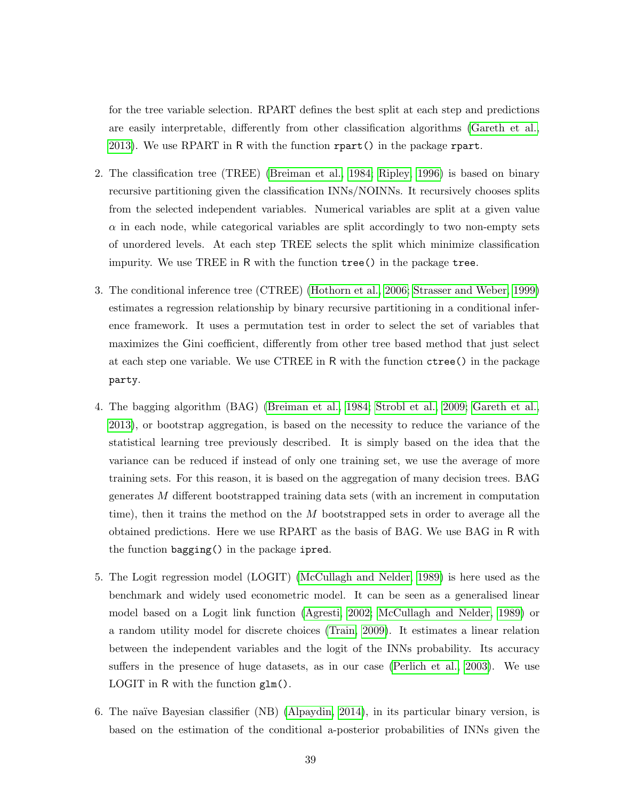for the tree variable selection. RPART defines the best split at each step and predictions are easily interpretable, differently from other classification algorithms [\(Gareth et al.,](#page-32-12) [2013\)](#page-32-12). We use RPART in R with the function rpart() in the package rpart.

- 2. The classification tree (TREE) [\(Breiman et al., 1984;](#page-30-12) [Ripley, 1996\)](#page-34-12) is based on binary recursive partitioning given the classification INNs/NOINNs. It recursively chooses splits from the selected independent variables. Numerical variables are split at a given value  $\alpha$  in each node, while categorical variables are split accordingly to two non-empty sets of unordered levels. At each step TREE selects the split which minimize classification impurity. We use TREE in R with the function tree() in the package tree.
- 3. The conditional inference tree (CTREE) [\(Hothorn et al., 2006;](#page-32-13) [Strasser and Weber, 1999\)](#page-35-10) estimates a regression relationship by binary recursive partitioning in a conditional inference framework. It uses a permutation test in order to select the set of variables that maximizes the Gini coefficient, differently from other tree based method that just select at each step one variable. We use CTREE in R with the function ctree() in the package party.
- 4. The bagging algorithm (BAG) [\(Breiman et al., 1984;](#page-30-12) [Strobl et al., 2009;](#page-35-11) [Gareth et al.,](#page-32-12) [2013\)](#page-32-12), or bootstrap aggregation, is based on the necessity to reduce the variance of the statistical learning tree previously described. It is simply based on the idea that the variance can be reduced if instead of only one training set, we use the average of more training sets. For this reason, it is based on the aggregation of many decision trees. BAG generates M different bootstrapped training data sets (with an increment in computation time), then it trains the method on the  $M$  bootstrapped sets in order to average all the obtained predictions. Here we use RPART as the basis of BAG. We use BAG in R with the function bagging() in the package ipred.
- 5. The Logit regression model (LOGIT) [\(McCullagh and Nelder, 1989\)](#page-33-14) is here used as the benchmark and widely used econometric model. It can be seen as a generalised linear model based on a Logit link function [\(Agresti, 2002;](#page-29-11) [McCullagh and Nelder, 1989\)](#page-33-14) or a random utility model for discrete choices [\(Train, 2009\)](#page-35-12). It estimates a linear relation between the independent variables and the logit of the INNs probability. Its accuracy suffers in the presence of huge datasets, as in our case [\(Perlich et al., 2003\)](#page-34-13). We use LOGIT in R with the function glm().
- 6. The na¨ıve Bayesian classifier (NB) [\(Alpaydin, 2014\)](#page-29-9), in its particular binary version, is based on the estimation of the conditional a-posterior probabilities of INNs given the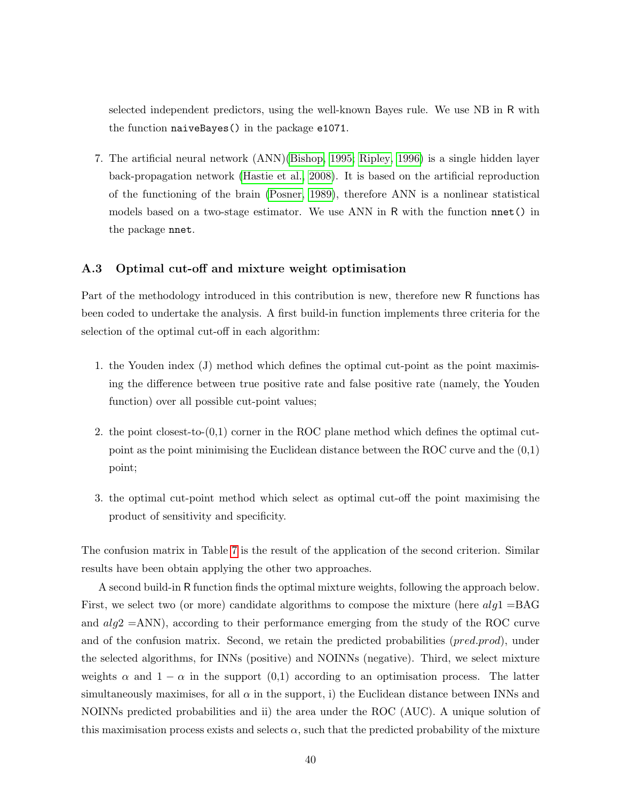selected independent predictors, using the well-known Bayes rule. We use NB in R with the function naiveBayes() in the package e1071.

7. The artificial neural network (ANN)[\(Bishop, 1995;](#page-30-13) [Ripley, 1996\)](#page-34-12) is a single hidden layer back-propagation network [\(Hastie et al., 2008\)](#page-32-11). It is based on the artificial reproduction of the functioning of the brain [\(Posner, 1989\)](#page-34-14), therefore ANN is a nonlinear statistical models based on a two-stage estimator. We use ANN in R with the function nnet() in the package nnet.

#### <span id="page-39-0"></span>A.3 Optimal cut-off and mixture weight optimisation

Part of the methodology introduced in this contribution is new, therefore new R functions has been coded to undertake the analysis. A first build-in function implements three criteria for the selection of the optimal cut-off in each algorithm:

- 1. the Youden index (J) method which defines the optimal cut-point as the point maximising the difference between true positive rate and false positive rate (namely, the Youden function) over all possible cut-point values;
- 2. the point closest-to-(0,1) corner in the ROC plane method which defines the optimal cutpoint as the point minimising the Euclidean distance between the ROC curve and the (0,1) point;
- 3. the optimal cut-point method which select as optimal cut-off the point maximising the product of sensitivity and specificity.

The confusion matrix in Table [7](#page-19-0) is the result of the application of the second criterion. Similar results have been obtain applying the other two approaches.

A second build-in R function finds the optimal mixture weights, following the approach below. First, we select two (or more) candidate algorithms to compose the mixture (here  $alq1 = BAG$ and  $alg2 = ANN$ , according to their performance emerging from the study of the ROC curve and of the confusion matrix. Second, we retain the predicted probabilities (*pred.prod*), under the selected algorithms, for INNs (positive) and NOINNs (negative). Third, we select mixture weights  $\alpha$  and  $1 - \alpha$  in the support (0,1) according to an optimisation process. The latter simultaneously maximises, for all  $\alpha$  in the support, i) the Euclidean distance between INNs and NOINNs predicted probabilities and ii) the area under the ROC (AUC). A unique solution of this maximisation process exists and selects  $\alpha$ , such that the predicted probability of the mixture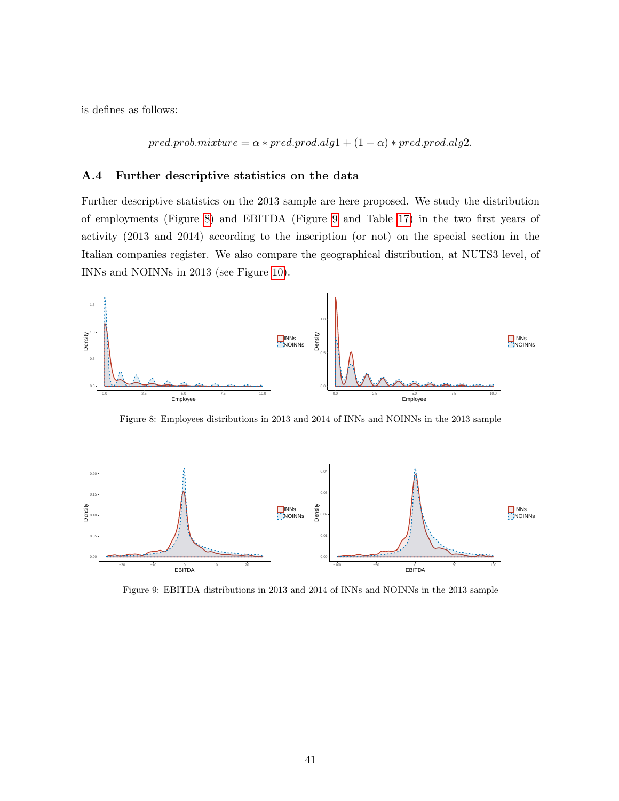is defines as follows:

 $pred.prob.mixture = \alpha * pred.prod.alg1 + (1 - \alpha) * pred.prod.alg2.$ 

#### <span id="page-40-0"></span>A.4 Further descriptive statistics on the data

Further descriptive statistics on the 2013 sample are here proposed. We study the distribution of employments (Figure [8\)](#page-40-1) and EBITDA (Figure [9](#page-40-2) and Table [17\)](#page-41-1) in the two first years of activity (2013 and 2014) according to the inscription (or not) on the special section in the Italian companies register. We also compare the geographical distribution, at NUTS3 level, of INNs and NOINNs in 2013 (see Figure [10\)](#page-41-0).

<span id="page-40-1"></span>

Figure 8: Employees distributions in 2013 and 2014 of INNs and NOINNs in the 2013 sample

<span id="page-40-2"></span>

Figure 9: EBITDA distributions in 2013 and 2014 of INNs and NOINNs in the 2013 sample